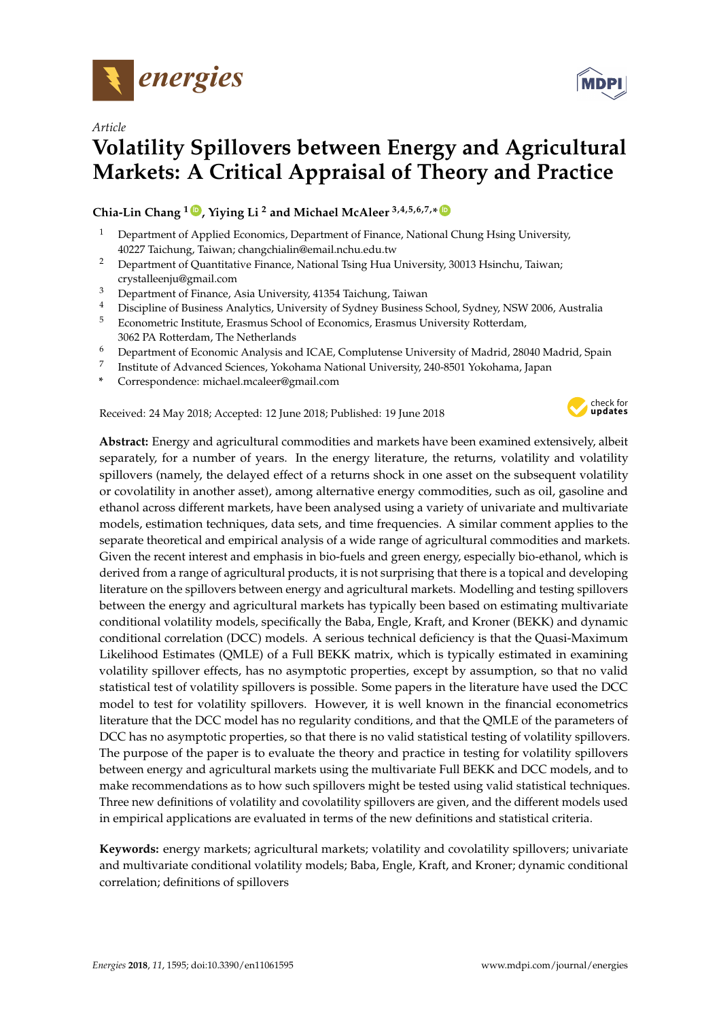

*Article*

# **Volatility Spillovers between Energy and Agricultural Markets: A Critical Appraisal of Theory and Practice**

**Chia-Lin Chang <sup>1</sup> [ID](https://orcid.org/0000-0001-8835-760X) , Yiying Li <sup>2</sup> and Michael McAleer 3,4,5,6,7,\* [ID](https://orcid.org/0000-0003-2707-3835)**

- <sup>1</sup> Department of Applied Economics, Department of Finance, National Chung Hsing University, 40227 Taichung, Taiwan; changchialin@email.nchu.edu.tw
- <sup>2</sup> Department of Quantitative Finance, National Tsing Hua University, 30013 Hsinchu, Taiwan; crystalleenju@gmail.com
- <sup>3</sup> Department of Finance, Asia University, 41354 Taichung, Taiwan
- <sup>4</sup> Discipline of Business Analytics, University of Sydney Business School, Sydney, NSW 2006, Australia
- <sup>5</sup> Econometric Institute, Erasmus School of Economics, Erasmus University Rotterdam, 3062 PA Rotterdam, The Netherlands
- <sup>6</sup> Department of Economic Analysis and ICAE, Complutense University of Madrid, 28040 Madrid, Spain
- 7 Institute of Advanced Sciences, Yokohama National University, 240-8501 Yokohama, Japan
- **\*** Correspondence: michael.mcaleer@gmail.com

Received: 24 May 2018; Accepted: 12 June 2018; Published: 19 June 2018



**Abstract:** Energy and agricultural commodities and markets have been examined extensively, albeit separately, for a number of years. In the energy literature, the returns, volatility and volatility spillovers (namely, the delayed effect of a returns shock in one asset on the subsequent volatility or covolatility in another asset), among alternative energy commodities, such as oil, gasoline and ethanol across different markets, have been analysed using a variety of univariate and multivariate models, estimation techniques, data sets, and time frequencies. A similar comment applies to the separate theoretical and empirical analysis of a wide range of agricultural commodities and markets. Given the recent interest and emphasis in bio-fuels and green energy, especially bio-ethanol, which is derived from a range of agricultural products, it is not surprising that there is a topical and developing literature on the spillovers between energy and agricultural markets. Modelling and testing spillovers between the energy and agricultural markets has typically been based on estimating multivariate conditional volatility models, specifically the Baba, Engle, Kraft, and Kroner (BEKK) and dynamic conditional correlation (DCC) models. A serious technical deficiency is that the Quasi-Maximum Likelihood Estimates (QMLE) of a Full BEKK matrix, which is typically estimated in examining volatility spillover effects, has no asymptotic properties, except by assumption, so that no valid statistical test of volatility spillovers is possible. Some papers in the literature have used the DCC model to test for volatility spillovers. However, it is well known in the financial econometrics literature that the DCC model has no regularity conditions, and that the QMLE of the parameters of DCC has no asymptotic properties, so that there is no valid statistical testing of volatility spillovers. The purpose of the paper is to evaluate the theory and practice in testing for volatility spillovers between energy and agricultural markets using the multivariate Full BEKK and DCC models, and to make recommendations as to how such spillovers might be tested using valid statistical techniques. Three new definitions of volatility and covolatility spillovers are given, and the different models used in empirical applications are evaluated in terms of the new definitions and statistical criteria.

**Keywords:** energy markets; agricultural markets; volatility and covolatility spillovers; univariate and multivariate conditional volatility models; Baba, Engle, Kraft, and Kroner; dynamic conditional correlation; definitions of spillovers

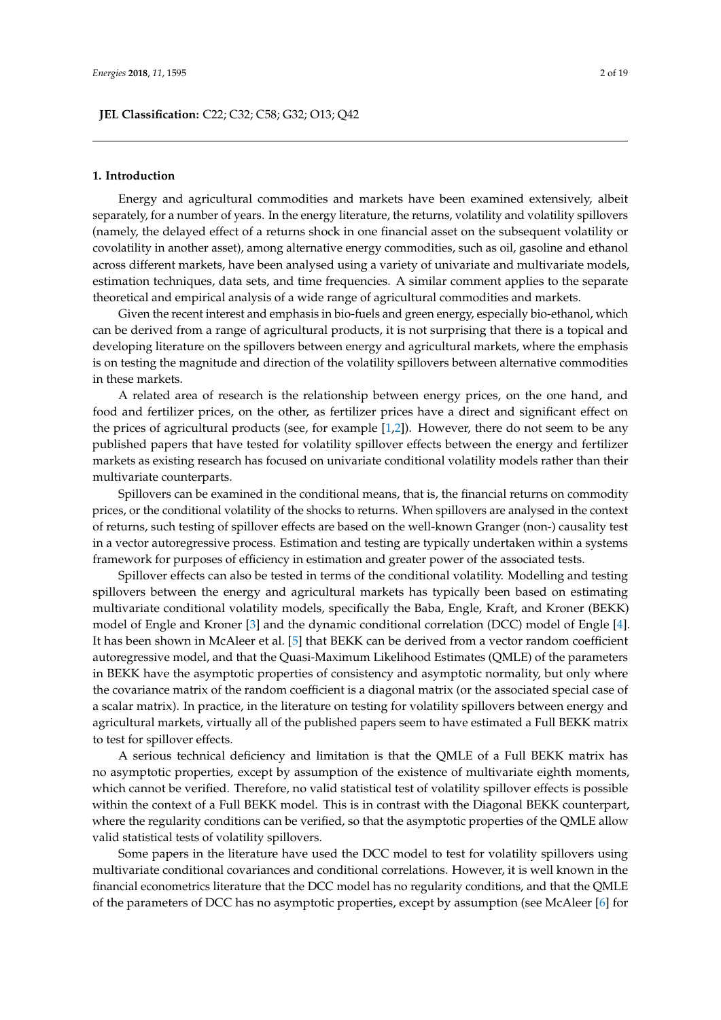#### **1. Introduction**

Energy and agricultural commodities and markets have been examined extensively, albeit separately, for a number of years. In the energy literature, the returns, volatility and volatility spillovers (namely, the delayed effect of a returns shock in one financial asset on the subsequent volatility or covolatility in another asset), among alternative energy commodities, such as oil, gasoline and ethanol across different markets, have been analysed using a variety of univariate and multivariate models, estimation techniques, data sets, and time frequencies. A similar comment applies to the separate theoretical and empirical analysis of a wide range of agricultural commodities and markets.

Given the recent interest and emphasis in bio-fuels and green energy, especially bio-ethanol, which can be derived from a range of agricultural products, it is not surprising that there is a topical and developing literature on the spillovers between energy and agricultural markets, where the emphasis is on testing the magnitude and direction of the volatility spillovers between alternative commodities in these markets.

A related area of research is the relationship between energy prices, on the one hand, and food and fertilizer prices, on the other, as fertilizer prices have a direct and significant effect on the prices of agricultural products (see, for example [\[1](#page-16-0)[,2\]](#page-16-1)). However, there do not seem to be any published papers that have tested for volatility spillover effects between the energy and fertilizer markets as existing research has focused on univariate conditional volatility models rather than their multivariate counterparts.

Spillovers can be examined in the conditional means, that is, the financial returns on commodity prices, or the conditional volatility of the shocks to returns. When spillovers are analysed in the context of returns, such testing of spillover effects are based on the well-known Granger (non-) causality test in a vector autoregressive process. Estimation and testing are typically undertaken within a systems framework for purposes of efficiency in estimation and greater power of the associated tests.

Spillover effects can also be tested in terms of the conditional volatility. Modelling and testing spillovers between the energy and agricultural markets has typically been based on estimating multivariate conditional volatility models, specifically the Baba, Engle, Kraft, and Kroner (BEKK) model of Engle and Kroner [\[3\]](#page-16-2) and the dynamic conditional correlation (DCC) model of Engle [\[4\]](#page-16-3). It has been shown in McAleer et al. [\[5\]](#page-16-4) that BEKK can be derived from a vector random coefficient autoregressive model, and that the Quasi-Maximum Likelihood Estimates (QMLE) of the parameters in BEKK have the asymptotic properties of consistency and asymptotic normality, but only where the covariance matrix of the random coefficient is a diagonal matrix (or the associated special case of a scalar matrix). In practice, in the literature on testing for volatility spillovers between energy and agricultural markets, virtually all of the published papers seem to have estimated a Full BEKK matrix to test for spillover effects.

A serious technical deficiency and limitation is that the QMLE of a Full BEKK matrix has no asymptotic properties, except by assumption of the existence of multivariate eighth moments, which cannot be verified. Therefore, no valid statistical test of volatility spillover effects is possible within the context of a Full BEKK model. This is in contrast with the Diagonal BEKK counterpart, where the regularity conditions can be verified, so that the asymptotic properties of the QMLE allow valid statistical tests of volatility spillovers.

Some papers in the literature have used the DCC model to test for volatility spillovers using multivariate conditional covariances and conditional correlations. However, it is well known in the financial econometrics literature that the DCC model has no regularity conditions, and that the QMLE of the parameters of DCC has no asymptotic properties, except by assumption (see McAleer [\[6\]](#page-16-5) for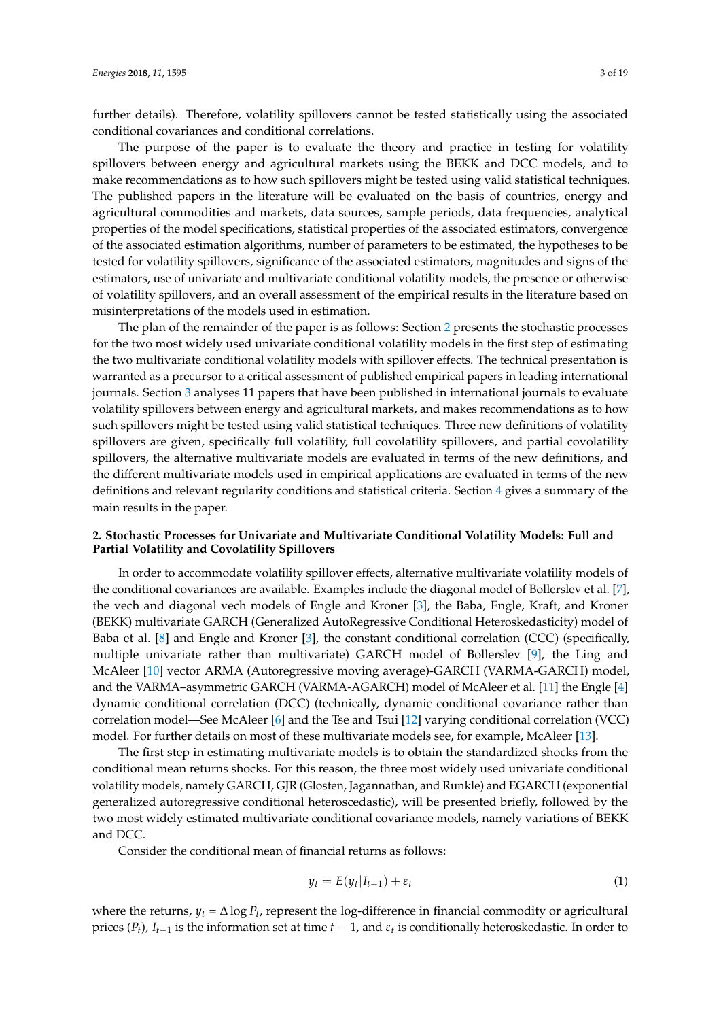further details). Therefore, volatility spillovers cannot be tested statistically using the associated conditional covariances and conditional correlations.

The purpose of the paper is to evaluate the theory and practice in testing for volatility spillovers between energy and agricultural markets using the BEKK and DCC models, and to make recommendations as to how such spillovers might be tested using valid statistical techniques. The published papers in the literature will be evaluated on the basis of countries, energy and agricultural commodities and markets, data sources, sample periods, data frequencies, analytical properties of the model specifications, statistical properties of the associated estimators, convergence of the associated estimation algorithms, number of parameters to be estimated, the hypotheses to be tested for volatility spillovers, significance of the associated estimators, magnitudes and signs of the estimators, use of univariate and multivariate conditional volatility models, the presence or otherwise of volatility spillovers, and an overall assessment of the empirical results in the literature based on misinterpretations of the models used in estimation.

The plan of the remainder of the paper is as follows: Section [2](#page-2-0) presents the stochastic processes for the two most widely used univariate conditional volatility models in the first step of estimating the two multivariate conditional volatility models with spillover effects. The technical presentation is warranted as a precursor to a critical assessment of published empirical papers in leading international journals. Section [3](#page-9-0) analyses 11 papers that have been published in international journals to evaluate volatility spillovers between energy and agricultural markets, and makes recommendations as to how such spillovers might be tested using valid statistical techniques. Three new definitions of volatility spillovers are given, specifically full volatility, full covolatility spillovers, and partial covolatility spillovers, the alternative multivariate models are evaluated in terms of the new definitions, and the different multivariate models used in empirical applications are evaluated in terms of the new definitions and relevant regularity conditions and statistical criteria. Section [4](#page-15-0) gives a summary of the main results in the paper.

# <span id="page-2-0"></span>**2. Stochastic Processes for Univariate and Multivariate Conditional Volatility Models: Full and Partial Volatility and Covolatility Spillovers**

In order to accommodate volatility spillover effects, alternative multivariate volatility models of the conditional covariances are available. Examples include the diagonal model of Bollerslev et al. [\[7\]](#page-16-6), the vech and diagonal vech models of Engle and Kroner [\[3\]](#page-16-2), the Baba, Engle, Kraft, and Kroner (BEKK) multivariate GARCH (Generalized AutoRegressive Conditional Heteroskedasticity) model of Baba et al. [\[8\]](#page-17-0) and Engle and Kroner [\[3\]](#page-16-2), the constant conditional correlation (CCC) (specifically, multiple univariate rather than multivariate) GARCH model of Bollerslev [\[9\]](#page-17-1), the Ling and McAleer [\[10\]](#page-17-2) vector ARMA (Autoregressive moving average)-GARCH (VARMA-GARCH) model, and the VARMA–asymmetric GARCH (VARMA-AGARCH) model of McAleer et al. [\[11\]](#page-17-3) the Engle [\[4\]](#page-16-3) dynamic conditional correlation (DCC) (technically, dynamic conditional covariance rather than correlation model—See McAleer [\[6\]](#page-16-5) and the Tse and Tsui [\[12\]](#page-17-4) varying conditional correlation (VCC) model. For further details on most of these multivariate models see, for example, McAleer [\[13\]](#page-17-5).

The first step in estimating multivariate models is to obtain the standardized shocks from the conditional mean returns shocks. For this reason, the three most widely used univariate conditional volatility models, namely GARCH, GJR (Glosten, Jagannathan, and Runkle) and EGARCH (exponential generalized autoregressive conditional heteroscedastic), will be presented briefly, followed by the two most widely estimated multivariate conditional covariance models, namely variations of BEKK and DCC.

Consider the conditional mean of financial returns as follows:

$$
y_t = E(y_t | I_{t-1}) + \varepsilon_t \tag{1}
$$

where the returns,  $y_t = \Delta \log P_t$ , represent the log-difference in financial commodity or agricultural prices  $(P_t)$ ,  $I_{t-1}$  is the information set at time  $t-1$ , and  $\varepsilon_t$  is conditionally heteroskedastic. In order to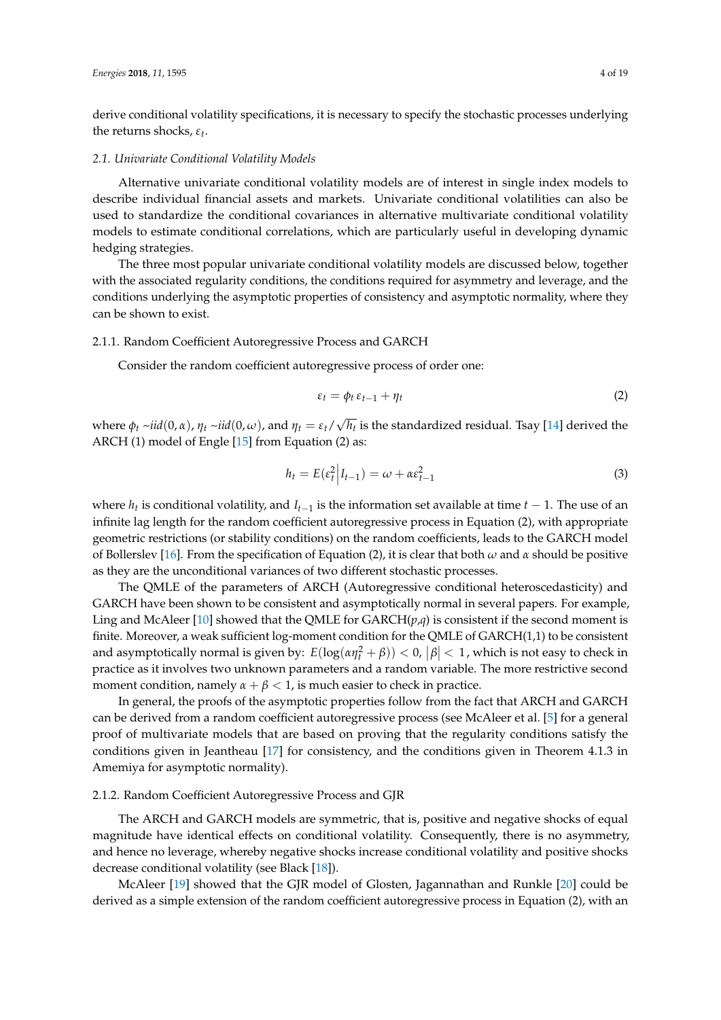derive conditional volatility specifications, it is necessary to specify the stochastic processes underlying the returns shocks, *εt* .

#### *2.1. Univariate Conditional Volatility Models*

Alternative univariate conditional volatility models are of interest in single index models to describe individual financial assets and markets. Univariate conditional volatilities can also be used to standardize the conditional covariances in alternative multivariate conditional volatility models to estimate conditional correlations, which are particularly useful in developing dynamic hedging strategies.

The three most popular univariate conditional volatility models are discussed below, together with the associated regularity conditions, the conditions required for asymmetry and leverage, and the conditions underlying the asymptotic properties of consistency and asymptotic normality, where they can be shown to exist.

#### <span id="page-3-0"></span>2.1.1. Random Coefficient Autoregressive Process and GARCH

Consider the random coefficient autoregressive process of order one:

$$
\varepsilon_t = \phi_t \, \varepsilon_{t-1} + \eta_t \tag{2}
$$

where  $\phi_t \sim \text{i} \text{i} d(0, \alpha)$ ,  $\eta_t \sim \text{i} \text{i} d(0, \omega)$ , and  $\eta_t = \varepsilon_t$ / √ *ht* is the standardized residual. Tsay [\[14\]](#page-17-6) derived the ARCH (1) model of Engle [\[15\]](#page-17-7) from Equation (2) as:

$$
h_t = E(\varepsilon_t^2 \Big| I_{t-1}) = \omega + \alpha \varepsilon_{t-1}^2 \tag{3}
$$

where  $h_t$  is conditional volatility, and  $I_{t-1}$  is the information set available at time  $t-1$ . The use of an infinite lag length for the random coefficient autoregressive process in Equation (2), with appropriate geometric restrictions (or stability conditions) on the random coefficients, leads to the GARCH model of Bollerslev [\[16\]](#page-17-8). From the specification of Equation (2), it is clear that both *ω* and *α* should be positive as they are the unconditional variances of two different stochastic processes.

The QMLE of the parameters of ARCH (Autoregressive conditional heteroscedasticity) and GARCH have been shown to be consistent and asymptotically normal in several papers. For example, Ling and McAleer [\[10\]](#page-17-2) showed that the QMLE for  $GARCH(p,q)$  is consistent if the second moment is finite. Moreover, a weak sufficient log-moment condition for the QMLE of GARCH(1,1) to be consistent and asymptotically normal is given by:  $E(log(\alpha \eta_t^2 + \beta)) < 0$ ,  $|\beta| < 1$ , which is not easy to check in practice as it involves two unknown parameters and a random variable. The more restrictive second moment condition, namely  $\alpha + \beta < 1$ , is much easier to check in practice.

In general, the proofs of the asymptotic properties follow from the fact that ARCH and GARCH can be derived from a random coefficient autoregressive process (see McAleer et al. [\[5\]](#page-16-4) for a general proof of multivariate models that are based on proving that the regularity conditions satisfy the conditions given in Jeantheau [\[17\]](#page-17-9) for consistency, and the conditions given in Theorem 4.1.3 in Amemiya for asymptotic normality).

# <span id="page-3-1"></span>2.1.2. Random Coefficient Autoregressive Process and GJR

The ARCH and GARCH models are symmetric, that is, positive and negative shocks of equal magnitude have identical effects on conditional volatility. Consequently, there is no asymmetry, and hence no leverage, whereby negative shocks increase conditional volatility and positive shocks decrease conditional volatility (see Black [\[18\]](#page-17-10)).

McAleer [\[19\]](#page-17-11) showed that the GJR model of Glosten, Jagannathan and Runkle [\[20\]](#page-17-12) could be derived as a simple extension of the random coefficient autoregressive process in Equation (2), with an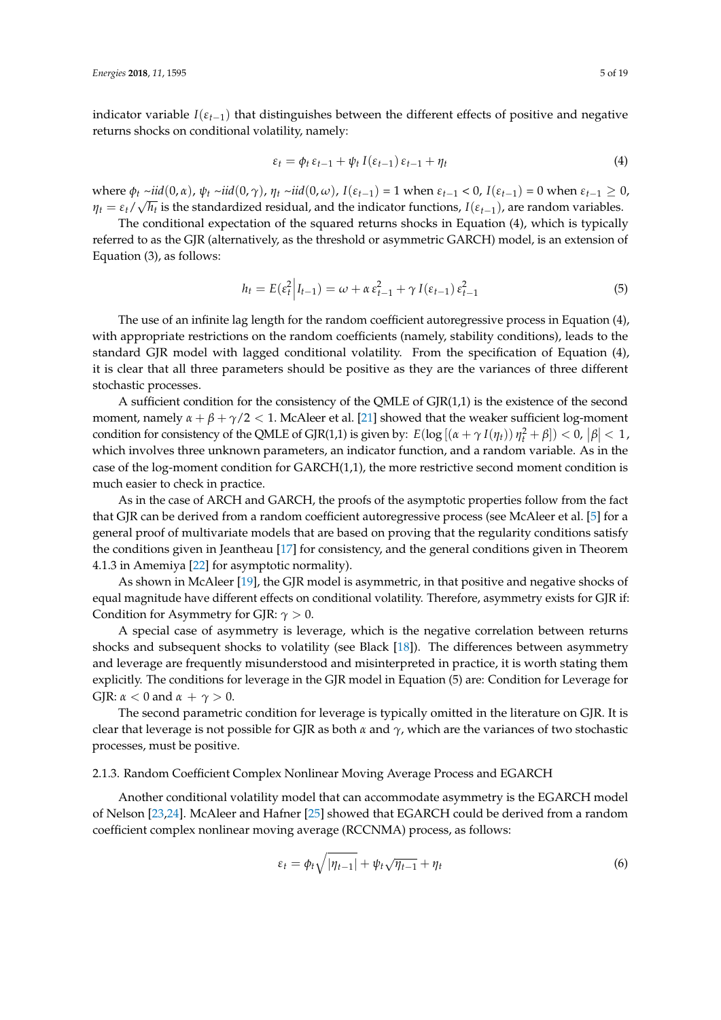indicator variable  $I(\varepsilon_{t-1})$  that distinguishes between the different effects of positive and negative returns shocks on conditional volatility, namely:

$$
\varepsilon_t = \phi_t \, \varepsilon_{t-1} + \psi_t \, I(\varepsilon_{t-1}) \, \varepsilon_{t-1} + \eta_t \tag{4}
$$

where  $\phi_t \sim \text{iid}(0, \alpha)$ ,  $\psi_t \sim \text{iid}(0, \gamma)$ ,  $\eta_t \sim \text{iid}(0, \omega)$ ,  $I(\varepsilon_{t-1}) = 1$  when  $\varepsilon_{t-1} < 0$ ,  $I(\varepsilon_{t-1}) = 0$  when  $\varepsilon_{t-1} \ge 0$ ,  $\eta_t = \varepsilon_t/\sqrt{h_t}$  is the standardized residual, and the indicator functions,  $I(\varepsilon_{t-1})$ , are random variables.

The conditional expectation of the squared returns shocks in Equation (4), which is typically referred to as the GJR (alternatively, as the threshold or asymmetric GARCH) model, is an extension of Equation (3), as follows:

$$
h_t = E(\varepsilon_t^2 \Big| I_{t-1}) = \omega + \alpha \varepsilon_{t-1}^2 + \gamma I(\varepsilon_{t-1}) \varepsilon_{t-1}^2 \tag{5}
$$

The use of an infinite lag length for the random coefficient autoregressive process in Equation (4), with appropriate restrictions on the random coefficients (namely, stability conditions), leads to the standard GJR model with lagged conditional volatility. From the specification of Equation (4), it is clear that all three parameters should be positive as they are the variances of three different stochastic processes.

A sufficient condition for the consistency of the QMLE of GJR(1,1) is the existence of the second moment, namely  $\alpha + \beta + \gamma/2 < 1$ . McAleer et al. [\[21\]](#page-17-13) showed that the weaker sufficient log-moment condition for consistency of the QMLE of GJR(1,1) is given by:  $E(\log[(\alpha + \gamma I(\eta_t)) \eta_t^2 + \beta]) < 0, |\beta| < 1$ , which involves three unknown parameters, an indicator function, and a random variable. As in the case of the log-moment condition for GARCH(1,1), the more restrictive second moment condition is much easier to check in practice.

As in the case of ARCH and GARCH, the proofs of the asymptotic properties follow from the fact that GJR can be derived from a random coefficient autoregressive process (see McAleer et al. [\[5\]](#page-16-4) for a general proof of multivariate models that are based on proving that the regularity conditions satisfy the conditions given in Jeantheau [\[17\]](#page-17-9) for consistency, and the general conditions given in Theorem 4.1.3 in Amemiya [\[22\]](#page-17-14) for asymptotic normality).

As shown in McAleer [\[19\]](#page-17-11), the GJR model is asymmetric, in that positive and negative shocks of equal magnitude have different effects on conditional volatility. Therefore, asymmetry exists for GJR if: Condition for Asymmetry for GJR: *γ* > 0.

A special case of asymmetry is leverage, which is the negative correlation between returns shocks and subsequent shocks to volatility (see Black [\[18\]](#page-17-10)). The differences between asymmetry and leverage are frequently misunderstood and misinterpreted in practice, it is worth stating them explicitly. The conditions for leverage in the GJR model in Equation (5) are: Condition for Leverage for GJR:  $\alpha$  < 0 and  $\alpha$  +  $\gamma$  > 0.

The second parametric condition for leverage is typically omitted in the literature on GJR. It is clear that leverage is not possible for GJR as both *α* and *γ*, which are the variances of two stochastic processes, must be positive.

# 2.1.3. Random Coefficient Complex Nonlinear Moving Average Process and EGARCH

Another conditional volatility model that can accommodate asymmetry is the EGARCH model of Nelson [\[23](#page-17-15)[,24\]](#page-17-16). McAleer and Hafner [\[25\]](#page-17-17) showed that EGARCH could be derived from a random coefficient complex nonlinear moving average (RCCNMA) process, as follows:

$$
\varepsilon_t = \phi_t \sqrt{|\eta_{t-1}|} + \psi_t \sqrt{\eta_{t-1}} + \eta_t \tag{6}
$$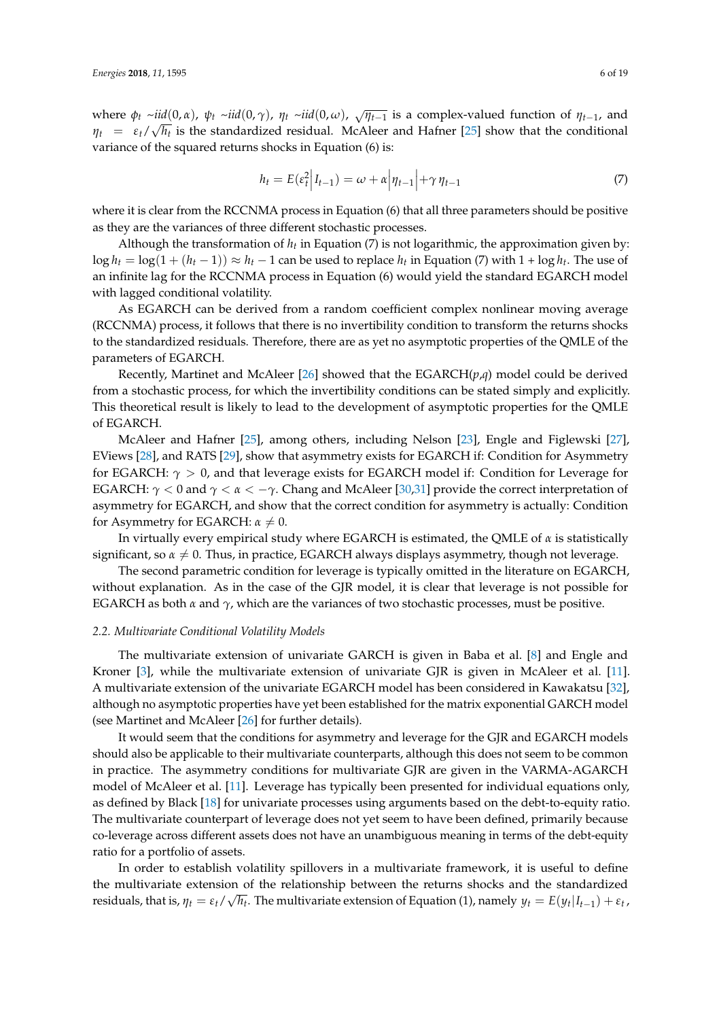where  $\phi_t \sim \text{i}id(0, \alpha)$ ,  $\psi_t \sim \text{i}id(0, \gamma)$ ,  $\eta_t \sim \text{i}id(0, \omega)$ ,  $\sqrt{\eta_{t-1}}$  is a complex-valued function of  $\eta_{t-1}$ , and  $\eta_t$  =  $\varepsilon_t/\sqrt{h_t}$  is the standardized residual. McAleer and Hafner [\[25\]](#page-17-17) show that the conditional variance of the squared returns shocks in Equation (6) is:

$$
h_t = E(\varepsilon_t^2 \Big| I_{t-1}) = \omega + \alpha \Big| \eta_{t-1} \Big| + \gamma \eta_{t-1} \tag{7}
$$

where it is clear from the RCCNMA process in Equation (6) that all three parameters should be positive as they are the variances of three different stochastic processes.

Although the transformation of *h<sup>t</sup>* in Equation (7) is not logarithmic, the approximation given by: log  $h_t = \log(1 + (h_t - 1)) \approx h_t - 1$  can be used to replace  $h_t$  in Equation (7) with 1 + log  $h_t$ . The use of an infinite lag for the RCCNMA process in Equation (6) would yield the standard EGARCH model with lagged conditional volatility.

As EGARCH can be derived from a random coefficient complex nonlinear moving average (RCCNMA) process, it follows that there is no invertibility condition to transform the returns shocks to the standardized residuals. Therefore, there are as yet no asymptotic properties of the QMLE of the parameters of EGARCH.

Recently, Martinet and McAleer [\[26\]](#page-17-18) showed that the EGARCH(*p*,*q*) model could be derived from a stochastic process, for which the invertibility conditions can be stated simply and explicitly. This theoretical result is likely to lead to the development of asymptotic properties for the QMLE of EGARCH.

McAleer and Hafner [\[25\]](#page-17-17), among others, including Nelson [\[23\]](#page-17-15), Engle and Figlewski [\[27\]](#page-17-19), EViews [\[28\]](#page-17-20), and RATS [\[29\]](#page-17-21), show that asymmetry exists for EGARCH if: Condition for Asymmetry for EGARCH:  $\gamma > 0$ , and that leverage exists for EGARCH model if: Condition for Leverage for EGARCH:  $\gamma$  < 0 and  $\gamma$  <  $\alpha$  <  $-\gamma$ . Chang and McAleer [\[30,](#page-17-22)[31\]](#page-17-23) provide the correct interpretation of asymmetry for EGARCH, and show that the correct condition for asymmetry is actually: Condition for Asymmetry for EGARCH:  $\alpha \neq 0$ .

In virtually every empirical study where EGARCH is estimated, the QMLE of *α* is statistically significant, so  $\alpha \neq 0$ . Thus, in practice, EGARCH always displays asymmetry, though not leverage.

The second parametric condition for leverage is typically omitted in the literature on EGARCH, without explanation. As in the case of the GJR model, it is clear that leverage is not possible for EGARCH as both  $\alpha$  and  $\gamma$ , which are the variances of two stochastic processes, must be positive.

#### *2.2. Multivariate Conditional Volatility Models*

The multivariate extension of univariate GARCH is given in Baba et al. [\[8\]](#page-17-0) and Engle and Kroner [\[3\]](#page-16-2), while the multivariate extension of univariate GJR is given in McAleer et al. [\[11\]](#page-17-3). A multivariate extension of the univariate EGARCH model has been considered in Kawakatsu [\[32\]](#page-17-24), although no asymptotic properties have yet been established for the matrix exponential GARCH model (see Martinet and McAleer [\[26\]](#page-17-18) for further details).

It would seem that the conditions for asymmetry and leverage for the GJR and EGARCH models should also be applicable to their multivariate counterparts, although this does not seem to be common in practice. The asymmetry conditions for multivariate GJR are given in the VARMA-AGARCH model of McAleer et al. [\[11\]](#page-17-3). Leverage has typically been presented for individual equations only, as defined by Black [\[18\]](#page-17-10) for univariate processes using arguments based on the debt-to-equity ratio. The multivariate counterpart of leverage does not yet seem to have been defined, primarily because co-leverage across different assets does not have an unambiguous meaning in terms of the debt-equity ratio for a portfolio of assets.

In order to establish volatility spillovers in a multivariate framework, it is useful to define the multivariate extension of the relationship between the returns shocks and the standardized residuals, that is,  $\eta_t = \varepsilon_t/\sqrt{h_t}$ . The multivariate extension of Equation (1), namely  $y_t = E(y_t|I_{t-1}) + \varepsilon_t$ ,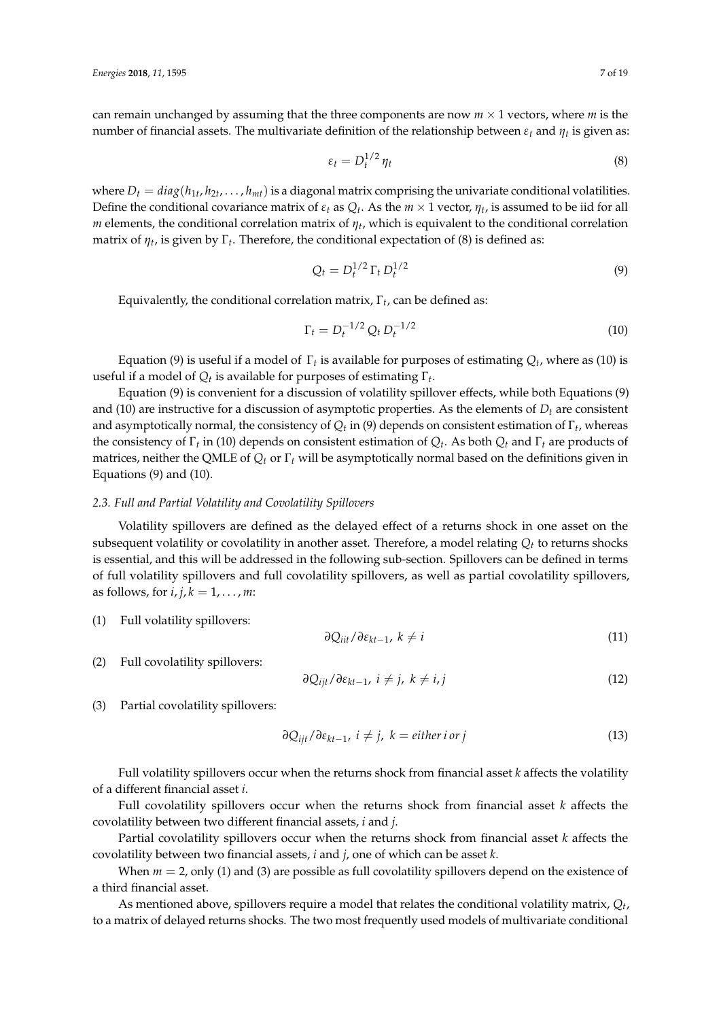can remain unchanged by assuming that the three components are now  $m \times 1$  vectors, where  $m$  is the number of financial assets. The multivariate definition of the relationship between *εt* and *ηt* is given as:

$$
\varepsilon_t = D_t^{1/2} \eta_t \tag{8}
$$

where  $D_t = diag(h_{1t}, h_{2t}, \ldots, h_{mt})$  is a diagonal matrix comprising the univariate conditional volatilities. Define the conditional covariance matrix of  $\varepsilon_t$  as  $Q_t$ . As the  $m \times 1$  vector,  $\eta_t$ , is assumed to be iid for all  $m$  elements, the conditional correlation matrix of  $\eta_t$ , which is equivalent to the conditional correlation matrix of  $\eta_t$ , is given by  $\Gamma_t$ . Therefore, the conditional expectation of (8) is defined as:

$$
Q_t = D_t^{1/2} \Gamma_t D_t^{1/2}
$$
 (9)

Equivalently, the conditional correlation matrix, Γ*<sup>t</sup>* , can be defined as:

$$
\Gamma_t = D_t^{-1/2} Q_t D_t^{-1/2}
$$
\n(10)

Equation (9) is useful if a model of  $\Gamma_t$  is available for purposes of estimating  $Q_t$ , where as (10) is useful if a model of  $Q_t$  is available for purposes of estimating  $\Gamma_t$ .

Equation (9) is convenient for a discussion of volatility spillover effects, while both Equations (9) and (10) are instructive for a discussion of asymptotic properties. As the elements of  $D_t$  are consistent and asymptotically normal, the consistency of *Q<sup>t</sup>* in (9) depends on consistent estimation of Γ*<sup>t</sup>* , whereas the consistency of Γ*<sup>t</sup>* in (10) depends on consistent estimation of *Q<sup>t</sup>* . As both *Q<sup>t</sup>* and Γ*<sup>t</sup>* are products of matrices, neither the QMLE of *Q<sup>t</sup>* or Γ*<sup>t</sup>* will be asymptotically normal based on the definitions given in Equations (9) and (10).

# <span id="page-6-0"></span>*2.3. Full and Partial Volatility and Covolatility Spillovers*

Volatility spillovers are defined as the delayed effect of a returns shock in one asset on the subsequent volatility or covolatility in another asset. Therefore, a model relating  $Q_t$  to returns shocks is essential, and this will be addressed in the following sub-section. Spillovers can be defined in terms of full volatility spillovers and full covolatility spillovers, as well as partial covolatility spillovers, as follows, for  $i, j, k = 1, \ldots, m$ :

(1) Full volatility spillovers:

$$
\partial Q_{iit}/\partial \varepsilon_{kt-1}, \ k \neq i \tag{11}
$$

(2) Full covolatility spillovers:

$$
\frac{\partial Q_{ijt}}{\partial \varepsilon_{kt-1}}, \quad i \neq j, \quad k \neq i, j \tag{12}
$$

(3) Partial covolatility spillovers:

$$
\frac{\partial Q_{ijt}}{\partial \varepsilon_{kt-1}}, \quad i \neq j, \quad k = \text{either } i \text{ or } j \tag{13}
$$

Full volatility spillovers occur when the returns shock from financial asset *k* affects the volatility of a different financial asset *i*.

Full covolatility spillovers occur when the returns shock from financial asset *k* affects the covolatility between two different financial assets, *i* and *j*.

Partial covolatility spillovers occur when the returns shock from financial asset *k* affects the covolatility between two financial assets, *i* and *j*, one of which can be asset *k*.

When  $m = 2$ , only (1) and (3) are possible as full covolatility spillovers depend on the existence of a third financial asset.

As mentioned above, spillovers require a model that relates the conditional volatility matrix, *Q<sup>t</sup>* , to a matrix of delayed returns shocks. The two most frequently used models of multivariate conditional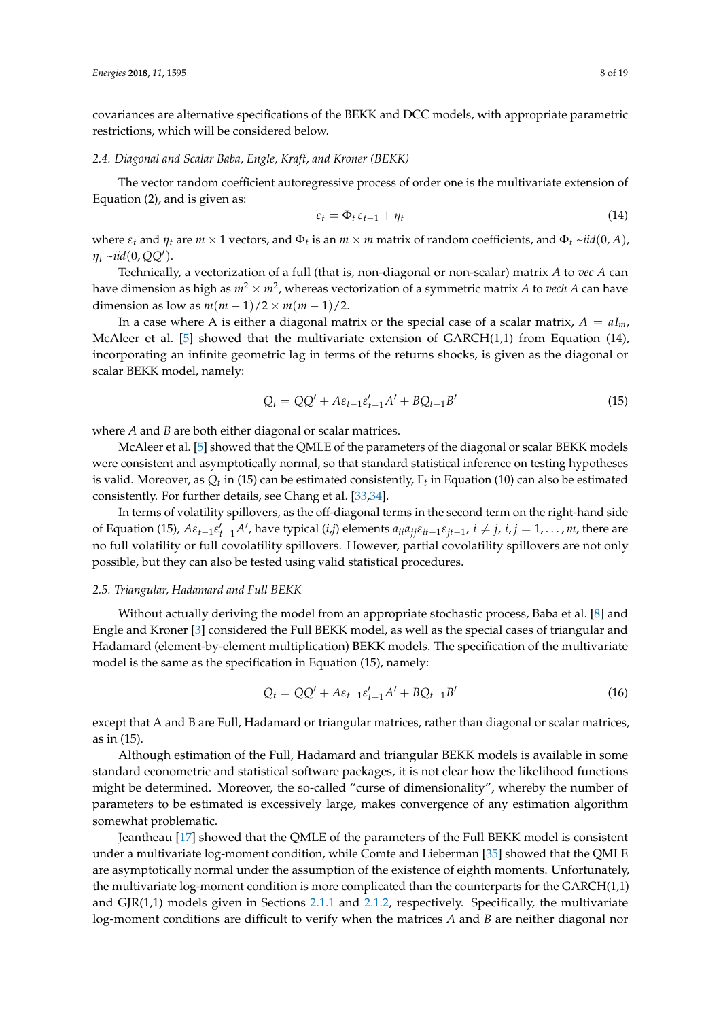covariances are alternative specifications of the BEKK and DCC models, with appropriate parametric restrictions, which will be considered below.

#### *2.4. Diagonal and Scalar Baba, Engle, Kraft, and Kroner (BEKK)*

The vector random coefficient autoregressive process of order one is the multivariate extension of Equation (2), and is given as:

$$
\varepsilon_t = \Phi_t \, \varepsilon_{t-1} + \eta_t \tag{14}
$$

where  $\varepsilon_t$  and  $\eta_t$  are  $m \times 1$  vectors, and  $\Phi_t$  is an  $m \times m$  matrix of random coefficients, and  $\Phi_t \sim \textit{iid}(0, A)$ ,  $\eta_t \sim$ *iid*(0, *QQ'*).

Technically, a vectorization of a full (that is, non-diagonal or non-scalar) matrix *A* to *vec A* can have dimension as high as *m*<sup>2</sup> × *m*<sup>2</sup> , whereas vectorization of a symmetric matrix *A* to *vech A* can have dimension as low as  $m(m-1)/2 \times m(m-1)/2$ .

In a case where A is either a diagonal matrix or the special case of a scalar matrix,  $A = aI_m$ , McAleer et al. [\[5\]](#page-16-4) showed that the multivariate extension of  $GARCH(1,1)$  from Equation (14), incorporating an infinite geometric lag in terms of the returns shocks, is given as the diagonal or scalar BEKK model, namely:

$$
Q_t = QQ' + A\varepsilon_{t-1}\varepsilon'_{t-1}A' + BQ_{t-1}B'
$$
\n(15)

where *A* and *B* are both either diagonal or scalar matrices.

McAleer et al. [\[5\]](#page-16-4) showed that the QMLE of the parameters of the diagonal or scalar BEKK models were consistent and asymptotically normal, so that standard statistical inference on testing hypotheses is valid. Moreover, as  $Q_t$  in (15) can be estimated consistently,  $\Gamma_t$  in Equation (10) can also be estimated consistently. For further details, see Chang et al. [\[33,](#page-17-25)[34\]](#page-17-26).

In terms of volatility spillovers, as the off-diagonal terms in the second term on the right-hand side of Equation (15),  $A\varepsilon_{t-1}\varepsilon'_{t-1}A'$ , have typical (*i*,*j*) elements  $a_{ii}a_{jj}\varepsilon_{it-1}\varepsilon_{jt-1}$ ,  $i \neq j$ ,  $i, j = 1,...,m$ , there are no full volatility or full covolatility spillovers. However, partial covolatility spillovers are not only possible, but they can also be tested using valid statistical procedures.

#### *2.5. Triangular, Hadamard and Full BEKK*

Without actually deriving the model from an appropriate stochastic process, Baba et al. [\[8\]](#page-17-0) and Engle and Kroner [\[3\]](#page-16-2) considered the Full BEKK model, as well as the special cases of triangular and Hadamard (element-by-element multiplication) BEKK models. The specification of the multivariate model is the same as the specification in Equation (15), namely:

$$
Q_t = QQ' + A\varepsilon_{t-1}\varepsilon_{t-1}'A' + BQ_{t-1}B'
$$
\n(16)

except that A and B are Full, Hadamard or triangular matrices, rather than diagonal or scalar matrices, as in (15).

Although estimation of the Full, Hadamard and triangular BEKK models is available in some standard econometric and statistical software packages, it is not clear how the likelihood functions might be determined. Moreover, the so-called "curse of dimensionality", whereby the number of parameters to be estimated is excessively large, makes convergence of any estimation algorithm somewhat problematic.

Jeantheau [\[17\]](#page-17-9) showed that the QMLE of the parameters of the Full BEKK model is consistent under a multivariate log-moment condition, while Comte and Lieberman [\[35\]](#page-17-27) showed that the QMLE are asymptotically normal under the assumption of the existence of eighth moments. Unfortunately, the multivariate log-moment condition is more complicated than the counterparts for the GARCH(1,1) and GJR(1,1) models given in Sections [2.1.1](#page-3-0) and [2.1.2,](#page-3-1) respectively. Specifically, the multivariate log-moment conditions are difficult to verify when the matrices *A* and *B* are neither diagonal nor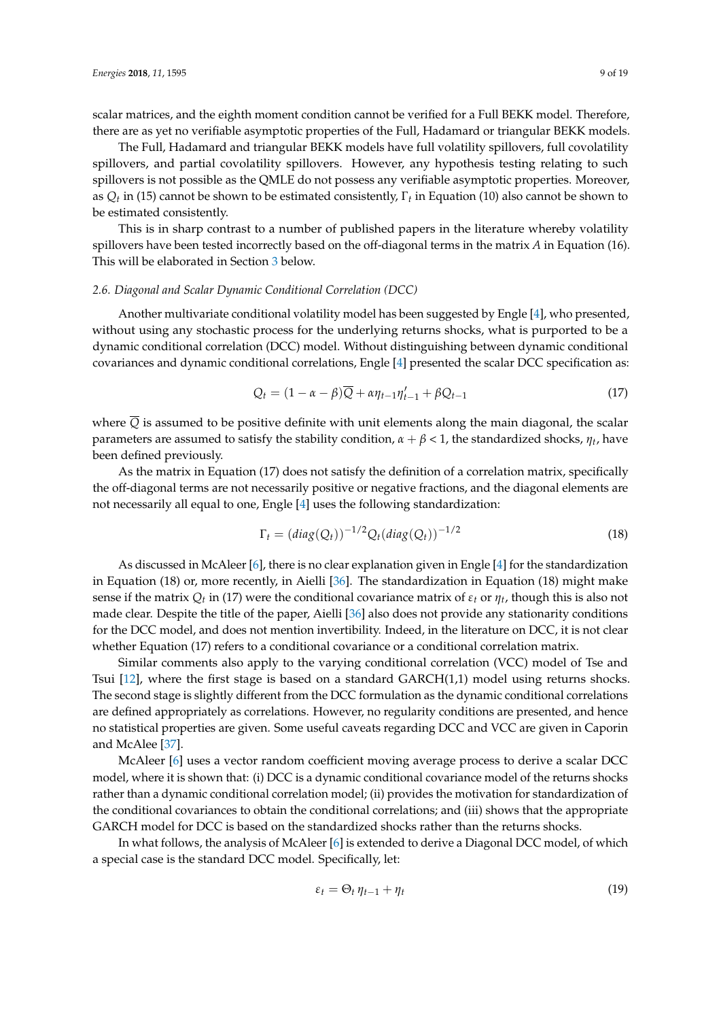scalar matrices, and the eighth moment condition cannot be verified for a Full BEKK model. Therefore, there are as yet no verifiable asymptotic properties of the Full, Hadamard or triangular BEKK models.

The Full, Hadamard and triangular BEKK models have full volatility spillovers, full covolatility spillovers, and partial covolatility spillovers. However, any hypothesis testing relating to such spillovers is not possible as the QMLE do not possess any verifiable asymptotic properties. Moreover, as *Q<sup>t</sup>* in (15) cannot be shown to be estimated consistently, Γ*<sup>t</sup>* in Equation (10) also cannot be shown to be estimated consistently.

This is in sharp contrast to a number of published papers in the literature whereby volatility spillovers have been tested incorrectly based on the off-diagonal terms in the matrix *A* in Equation (16). This will be elaborated in Section [3](#page-9-0) below.

# *2.6. Diagonal and Scalar Dynamic Conditional Correlation (DCC)*

Another multivariate conditional volatility model has been suggested by Engle [\[4\]](#page-16-3), who presented, without using any stochastic process for the underlying returns shocks, what is purported to be a dynamic conditional correlation (DCC) model. Without distinguishing between dynamic conditional covariances and dynamic conditional correlations, Engle [\[4\]](#page-16-3) presented the scalar DCC specification as:

$$
Q_t = (1 - \alpha - \beta)\overline{Q} + \alpha \eta_{t-1} \eta'_{t-1} + \beta Q_{t-1}
$$
\n(17)

where  $\overline{Q}$  is assumed to be positive definite with unit elements along the main diagonal, the scalar parameters are assumed to satisfy the stability condition,  $α + β < 1$ , the standardized shocks,  $η_t$ , have been defined previously.

As the matrix in Equation (17) does not satisfy the definition of a correlation matrix, specifically the off-diagonal terms are not necessarily positive or negative fractions, and the diagonal elements are not necessarily all equal to one, Engle [\[4\]](#page-16-3) uses the following standardization:

$$
\Gamma_t = (diag(Q_t))^{-1/2} Q_t (diag(Q_t))^{-1/2}
$$
\n(18)

As discussed in McAleer [\[6\]](#page-16-5), there is no clear explanation given in Engle [\[4\]](#page-16-3) for the standardization in Equation (18) or, more recently, in Aielli [\[36\]](#page-17-28). The standardization in Equation (18) might make sense if the matrix *Q<sup>t</sup>* in (17) were the conditional covariance matrix of *εt* or *ηt* , though this is also not made clear. Despite the title of the paper, Aielli [\[36\]](#page-17-28) also does not provide any stationarity conditions for the DCC model, and does not mention invertibility. Indeed, in the literature on DCC, it is not clear whether Equation (17) refers to a conditional covariance or a conditional correlation matrix.

Similar comments also apply to the varying conditional correlation (VCC) model of Tse and Tsui [\[12\]](#page-17-4), where the first stage is based on a standard GARCH(1,1) model using returns shocks. The second stage is slightly different from the DCC formulation as the dynamic conditional correlations are defined appropriately as correlations. However, no regularity conditions are presented, and hence no statistical properties are given. Some useful caveats regarding DCC and VCC are given in Caporin and McAlee [\[37\]](#page-17-29).

McAleer [\[6\]](#page-16-5) uses a vector random coefficient moving average process to derive a scalar DCC model, where it is shown that: (i) DCC is a dynamic conditional covariance model of the returns shocks rather than a dynamic conditional correlation model; (ii) provides the motivation for standardization of the conditional covariances to obtain the conditional correlations; and (iii) shows that the appropriate GARCH model for DCC is based on the standardized shocks rather than the returns shocks.

In what follows, the analysis of McAleer [\[6\]](#page-16-5) is extended to derive a Diagonal DCC model, of which a special case is the standard DCC model. Specifically, let:

$$
\varepsilon_t = \Theta_t \, \eta_{t-1} + \eta_t \tag{19}
$$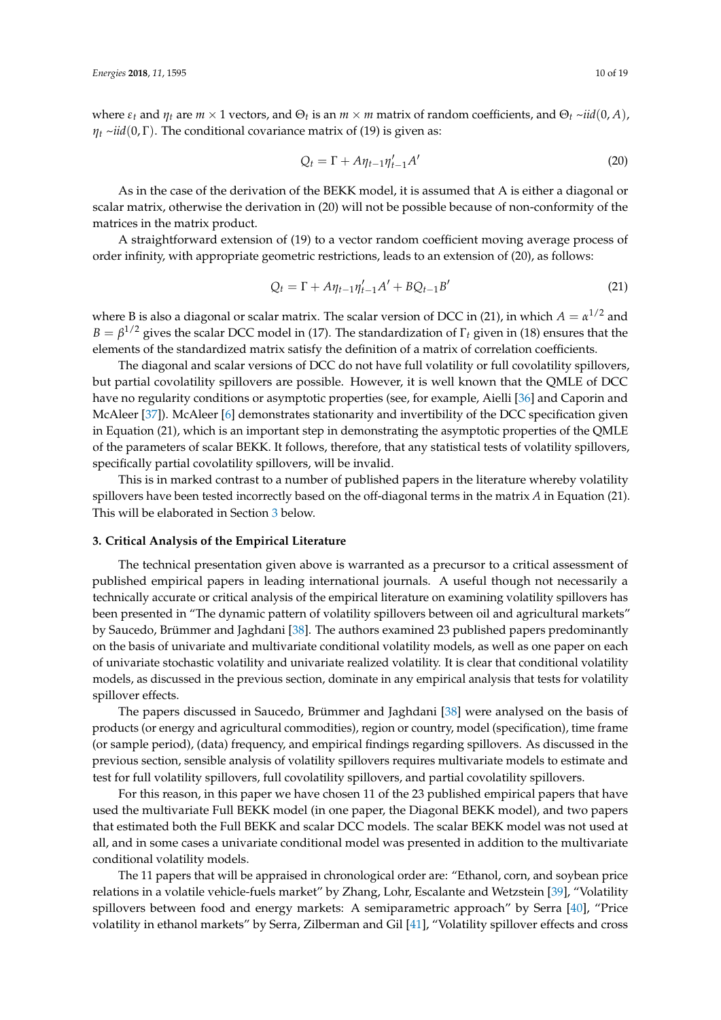where  $\varepsilon_t$  and  $\eta_t$  are  $m \times 1$  vectors, and  $\Theta_t$  is an  $m \times m$  matrix of random coefficients, and  $\Theta_t \sim$ *iid* $(0, A)$ ,  $\eta_t \sim \text{i} \text{i} d(0, \Gamma)$ . The conditional covariance matrix of (19) is given as:

$$
Q_t = \Gamma + A \eta_{t-1} \eta'_{t-1} A'
$$
\n(20)

As in the case of the derivation of the BEKK model, it is assumed that A is either a diagonal or scalar matrix, otherwise the derivation in (20) will not be possible because of non-conformity of the matrices in the matrix product.

A straightforward extension of (19) to a vector random coefficient moving average process of order infinity, with appropriate geometric restrictions, leads to an extension of (20), as follows:

$$
Q_t = \Gamma + A\eta_{t-1}\eta'_{t-1}A' + BQ_{t-1}B'
$$
\n(21)

where B is also a diagonal or scalar matrix. The scalar version of DCC in (21), in which  $A = \alpha^{1/2}$  and  $B = \beta^{1/2}$  gives the scalar DCC model in (17). The standardization of  $\Gamma_t$  given in (18) ensures that the elements of the standardized matrix satisfy the definition of a matrix of correlation coefficients.

The diagonal and scalar versions of DCC do not have full volatility or full covolatility spillovers, but partial covolatility spillovers are possible. However, it is well known that the QMLE of DCC have no regularity conditions or asymptotic properties (see, for example, Aielli [\[36\]](#page-17-28) and Caporin and McAleer [\[37\]](#page-17-29)). McAleer [\[6\]](#page-16-5) demonstrates stationarity and invertibility of the DCC specification given in Equation (21), which is an important step in demonstrating the asymptotic properties of the QMLE of the parameters of scalar BEKK. It follows, therefore, that any statistical tests of volatility spillovers, specifically partial covolatility spillovers, will be invalid.

This is in marked contrast to a number of published papers in the literature whereby volatility spillovers have been tested incorrectly based on the off-diagonal terms in the matrix *A* in Equation (21). This will be elaborated in Section [3](#page-9-0) below.

# <span id="page-9-0"></span>**3. Critical Analysis of the Empirical Literature**

The technical presentation given above is warranted as a precursor to a critical assessment of published empirical papers in leading international journals. A useful though not necessarily a technically accurate or critical analysis of the empirical literature on examining volatility spillovers has been presented in "The dynamic pattern of volatility spillovers between oil and agricultural markets" by Saucedo, Brümmer and Jaghdani [\[38\]](#page-18-0). The authors examined 23 published papers predominantly on the basis of univariate and multivariate conditional volatility models, as well as one paper on each of univariate stochastic volatility and univariate realized volatility. It is clear that conditional volatility models, as discussed in the previous section, dominate in any empirical analysis that tests for volatility spillover effects.

The papers discussed in Saucedo, Brümmer and Jaghdani [\[38\]](#page-18-0) were analysed on the basis of products (or energy and agricultural commodities), region or country, model (specification), time frame (or sample period), (data) frequency, and empirical findings regarding spillovers. As discussed in the previous section, sensible analysis of volatility spillovers requires multivariate models to estimate and test for full volatility spillovers, full covolatility spillovers, and partial covolatility spillovers.

For this reason, in this paper we have chosen 11 of the 23 published empirical papers that have used the multivariate Full BEKK model (in one paper, the Diagonal BEKK model), and two papers that estimated both the Full BEKK and scalar DCC models. The scalar BEKK model was not used at all, and in some cases a univariate conditional model was presented in addition to the multivariate conditional volatility models.

The 11 papers that will be appraised in chronological order are: "Ethanol, corn, and soybean price relations in a volatile vehicle-fuels market" by Zhang, Lohr, Escalante and Wetzstein [\[39\]](#page-18-1), "Volatility spillovers between food and energy markets: A semiparametric approach" by Serra [\[40\]](#page-18-2), "Price volatility in ethanol markets" by Serra, Zilberman and Gil [\[41\]](#page-18-3), "Volatility spillover effects and cross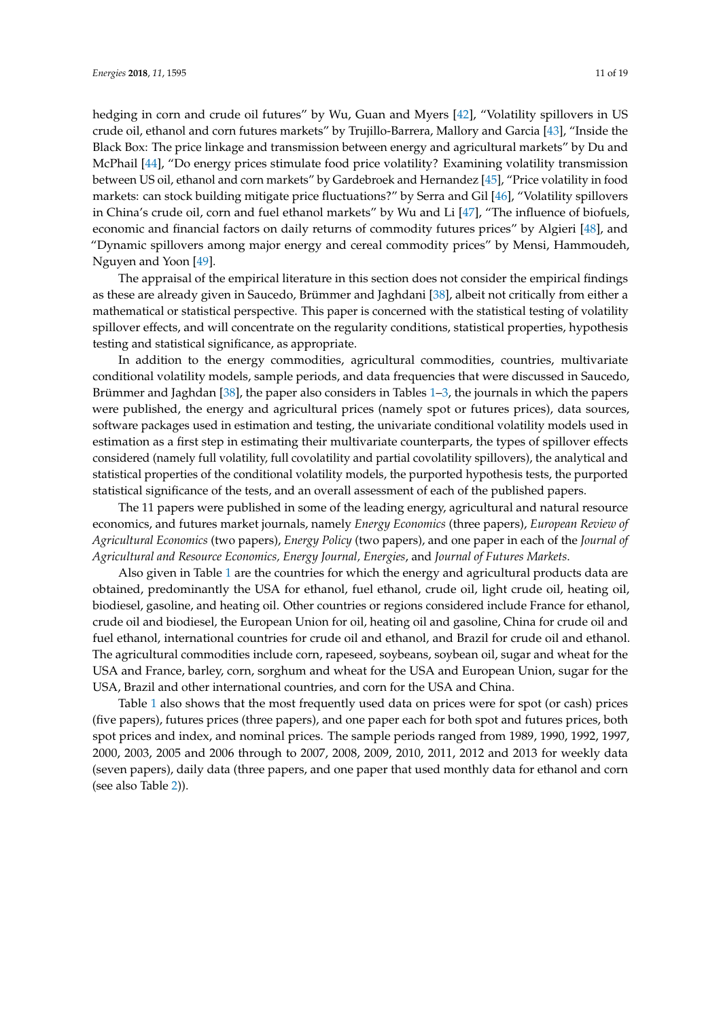hedging in corn and crude oil futures" by Wu, Guan and Myers [\[42\]](#page-18-4), "Volatility spillovers in US crude oil, ethanol and corn futures markets" by Trujillo-Barrera, Mallory and Garcia [\[43\]](#page-18-5), "Inside the Black Box: The price linkage and transmission between energy and agricultural markets" by Du and McPhail [\[44\]](#page-18-6), "Do energy prices stimulate food price volatility? Examining volatility transmission between US oil, ethanol and corn markets" by Gardebroek and Hernandez [\[45\]](#page-18-7), "Price volatility in food markets: can stock building mitigate price fluctuations?" by Serra and Gil [\[46\]](#page-18-8), "Volatility spillovers in China's crude oil, corn and fuel ethanol markets" by Wu and Li [\[47\]](#page-18-9), "The influence of biofuels, economic and financial factors on daily returns of commodity futures prices" by Algieri [\[48\]](#page-18-10), and "Dynamic spillovers among major energy and cereal commodity prices" by Mensi, Hammoudeh, Nguyen and Yoon [\[49\]](#page-18-11).

The appraisal of the empirical literature in this section does not consider the empirical findings as these are already given in Saucedo, Brümmer and Jaghdani [\[38\]](#page-18-0), albeit not critically from either a mathematical or statistical perspective. This paper is concerned with the statistical testing of volatility spillover effects, and will concentrate on the regularity conditions, statistical properties, hypothesis testing and statistical significance, as appropriate.

In addition to the energy commodities, agricultural commodities, countries, multivariate conditional volatility models, sample periods, and data frequencies that were discussed in Saucedo, Brümmer and Jaghdan [\[38\]](#page-18-0), the paper also considers in Tables [1](#page-11-0)[–3,](#page-14-0) the journals in which the papers were published, the energy and agricultural prices (namely spot or futures prices), data sources, software packages used in estimation and testing, the univariate conditional volatility models used in estimation as a first step in estimating their multivariate counterparts, the types of spillover effects considered (namely full volatility, full covolatility and partial covolatility spillovers), the analytical and statistical properties of the conditional volatility models, the purported hypothesis tests, the purported statistical significance of the tests, and an overall assessment of each of the published papers.

The 11 papers were published in some of the leading energy, agricultural and natural resource economics, and futures market journals, namely *Energy Economics* (three papers), *European Review of Agricultural Economics* (two papers), *Energy Policy* (two papers), and one paper in each of the *Journal of Agricultural and Resource Economics, Energy Journal, Energies*, and *Journal of Futures Markets*.

Also given in Table [1](#page-11-0) are the countries for which the energy and agricultural products data are obtained, predominantly the USA for ethanol, fuel ethanol, crude oil, light crude oil, heating oil, biodiesel, gasoline, and heating oil. Other countries or regions considered include France for ethanol, crude oil and biodiesel, the European Union for oil, heating oil and gasoline, China for crude oil and fuel ethanol, international countries for crude oil and ethanol, and Brazil for crude oil and ethanol. The agricultural commodities include corn, rapeseed, soybeans, soybean oil, sugar and wheat for the USA and France, barley, corn, sorghum and wheat for the USA and European Union, sugar for the USA, Brazil and other international countries, and corn for the USA and China.

Table [1](#page-11-0) also shows that the most frequently used data on prices were for spot (or cash) prices (five papers), futures prices (three papers), and one paper each for both spot and futures prices, both spot prices and index, and nominal prices. The sample periods ranged from 1989, 1990, 1992, 1997, 2000, 2003, 2005 and 2006 through to 2007, 2008, 2009, 2010, 2011, 2012 and 2013 for weekly data (seven papers), daily data (three papers, and one paper that used monthly data for ethanol and corn (see also Table [2\)](#page-12-0)).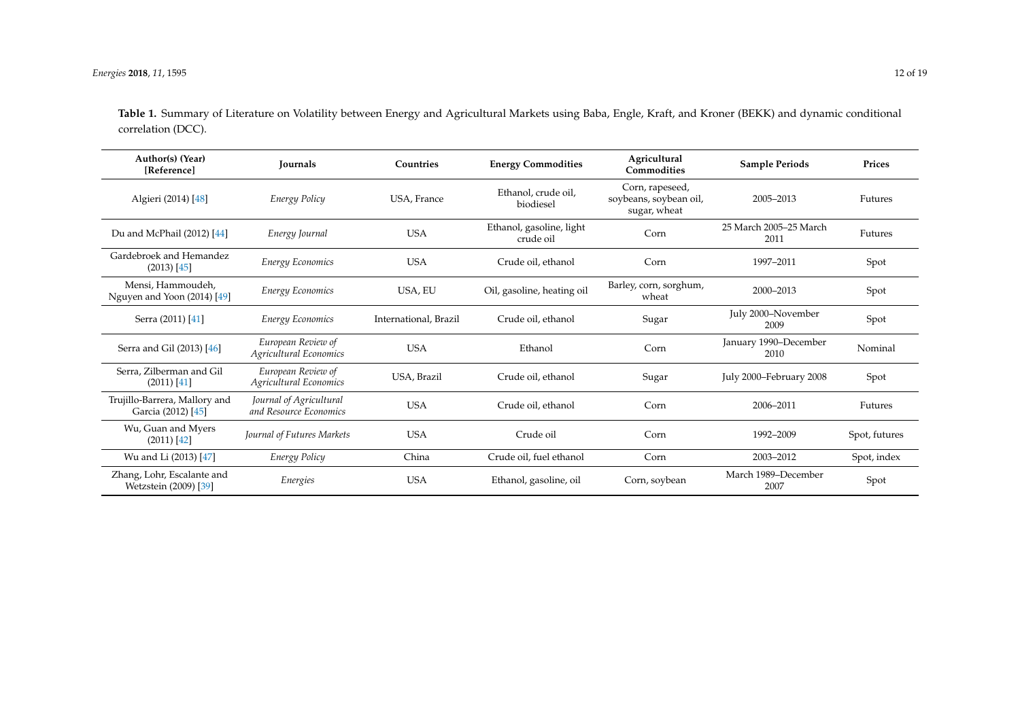**Table 1.** Summary of Literature on Volatility between Energy and Agricultural Markets using Baba, Engle, Kraft, and Kroner (BEKK) and dynamic conditional correlation (DCC).

<span id="page-11-0"></span>

| Author(s) (Year)<br>[Reference]                     | <b>Journals</b>                                   | Countries             | <b>Energy Commodities</b>             | Agricultural<br>Commodities                               | <b>Sample Periods</b>          | Prices        |
|-----------------------------------------------------|---------------------------------------------------|-----------------------|---------------------------------------|-----------------------------------------------------------|--------------------------------|---------------|
| Algieri (2014) [48]                                 | Energy Policy                                     | USA, France           | Ethanol, crude oil,<br>biodiesel      | Corn, rapeseed,<br>soybeans, soybean oil,<br>sugar, wheat | 2005-2013                      | Futures       |
| Du and McPhail (2012) [44]                          | Energy Journal                                    | <b>USA</b>            | Ethanol, gasoline, light<br>crude oil | Corn                                                      | 25 March 2005-25 March<br>2011 | Futures       |
| Gardebroek and Hemandez<br>$(2013)$ [45]            | <b>Energy Economics</b>                           | <b>USA</b>            | Crude oil, ethanol                    | Corn                                                      | 1997-2011                      | Spot          |
| Mensi, Hammoudeh,<br>Nguyen and Yoon (2014) [49]    | Energy Economics                                  | USA, EU               | Oil, gasoline, heating oil            | Barley, corn, sorghum,<br>wheat                           | 2000-2013                      | Spot          |
| Serra (2011) [41]                                   | Energy Economics                                  | International, Brazil | Crude oil, ethanol                    | Sugar                                                     | July 2000-November<br>2009     | Spot          |
| Serra and Gil (2013) [46]                           | European Review of<br>Agricultural Economics      | <b>USA</b>            | Ethanol                               | Corn                                                      | January 1990-December<br>2010  | Nominal       |
| Serra, Zilberman and Gil<br>$(2011)$ [41]           | European Review of<br>Agricultural Economics      | USA, Brazil           | Crude oil, ethanol                    | Sugar                                                     | July 2000-February 2008        | Spot          |
| Trujillo-Barrera, Mallory and<br>Garcia (2012) [45] | Journal of Agricultural<br>and Resource Economics | <b>USA</b>            | Crude oil, ethanol                    | Corn                                                      | 2006-2011                      | Futures       |
| Wu, Guan and Myers<br>$(2011)$ [42]                 | Journal of Futures Markets                        | <b>USA</b>            | Crude oil                             | Corn                                                      | 1992-2009                      | Spot, futures |
| Wu and Li (2013) [47]                               | Energy Policy                                     | China                 | Crude oil, fuel ethanol               | Corn                                                      | 2003-2012                      | Spot, index   |
| Zhang, Lohr, Escalante and<br>Wetzstein (2009) [39] | Energies                                          | <b>USA</b>            | Ethanol, gasoline, oil                | Corn, soybean                                             | March 1989-December<br>2007    | Spot          |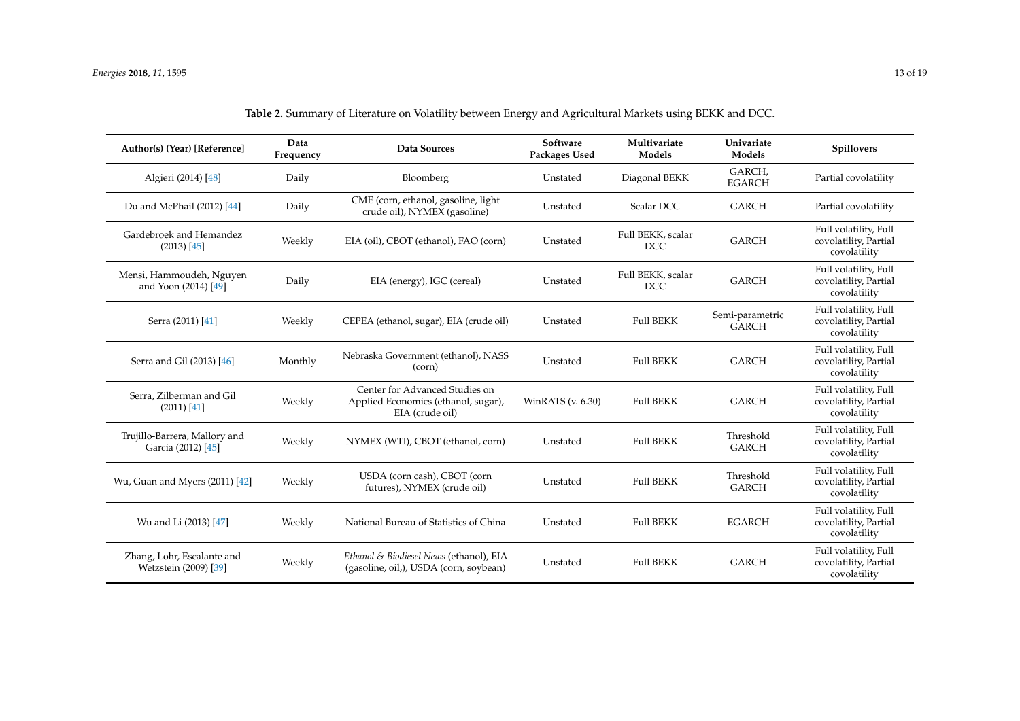<span id="page-12-0"></span>

| Author(s) (Year) [Reference]                        | Data<br>Frequency | Data Sources                                                                             | Software<br>Packages Used | Multivariate<br>Models          | Univariate<br>Models            | <b>Spillovers</b>                                              |
|-----------------------------------------------------|-------------------|------------------------------------------------------------------------------------------|---------------------------|---------------------------------|---------------------------------|----------------------------------------------------------------|
| Algieri (2014) [48]                                 | Daily             | Bloomberg                                                                                | Unstated                  | Diagonal BEKK                   | GARCH,<br><b>EGARCH</b>         | Partial covolatility                                           |
| Du and McPhail (2012) [44]                          | Daily             | CME (corn, ethanol, gasoline, light<br>crude oil), NYMEX (gasoline)                      | Unstated                  | Scalar DCC                      | <b>GARCH</b>                    | Partial covolatility                                           |
| Gardebroek and Hemandez<br>(2013) [45]              | Weekly            | EIA (oil), CBOT (ethanol), FAO (corn)                                                    | Unstated                  | Full BEKK, scalar<br><b>DCC</b> | <b>GARCH</b>                    | Full volatility, Full<br>covolatility, Partial<br>covolatility |
| Mensi, Hammoudeh, Nguyen<br>and Yoon (2014) [49]    | Daily             | EIA (energy), IGC (cereal)                                                               | Unstated                  | Full BEKK, scalar<br><b>DCC</b> | <b>GARCH</b>                    | Full volatility, Full<br>covolatility, Partial<br>covolatility |
| Serra (2011) [41]                                   | Weekly            | CEPEA (ethanol, sugar), EIA (crude oil)                                                  | Unstated                  | <b>Full BEKK</b>                | Semi-parametric<br><b>GARCH</b> | Full volatility, Full<br>covolatility, Partial<br>covolatility |
| Serra and Gil (2013) [46]                           | Monthly           | Nebraska Government (ethanol), NASS<br>(corn)                                            | Unstated                  | <b>Full BEKK</b>                | <b>GARCH</b>                    | Full volatility, Full<br>covolatility, Partial<br>covolatility |
| Serra, Zilberman and Gil<br>(2011) [41]             | Weekly            | Center for Advanced Studies on<br>Applied Economics (ethanol, sugar),<br>EIA (crude oil) | WinRATS (v. 6.30)         | <b>Full BEKK</b>                | <b>GARCH</b>                    | Full volatility, Full<br>covolatility, Partial<br>covolatility |
| Trujillo-Barrera, Mallory and<br>Garcia (2012) [45] | Weekly            | NYMEX (WTI), CBOT (ethanol, corn)                                                        | Unstated                  | <b>Full BEKK</b>                | Threshold<br><b>GARCH</b>       | Full volatility, Full<br>covolatility, Partial<br>covolatility |
| Wu, Guan and Myers (2011) [42]                      | Weekly            | USDA (corn cash), CBOT (corn<br>futures), NYMEX (crude oil)                              | Unstated                  | <b>Full BEKK</b>                | Threshold<br><b>GARCH</b>       | Full volatility, Full<br>covolatility, Partial<br>covolatility |
| Wu and Li (2013) [47]                               | Weekly            | National Bureau of Statistics of China                                                   | Unstated                  | <b>Full BEKK</b>                | <b>EGARCH</b>                   | Full volatility, Full<br>covolatility, Partial<br>covolatility |
| Zhang, Lohr, Escalante and<br>Wetzstein (2009) [39] | Weekly            | Ethanol & Biodiesel News (ethanol), EIA<br>(gasoline, oil,), USDA (corn, soybean)        | Unstated                  | <b>Full BEKK</b>                | <b>GARCH</b>                    | Full volatility, Full<br>covolatility, Partial<br>covolatility |

| Table 2. Summary of Literature on Volatility between Energy and Agricultural Markets using BEKK and DCC. |  |  |
|----------------------------------------------------------------------------------------------------------|--|--|
|----------------------------------------------------------------------------------------------------------|--|--|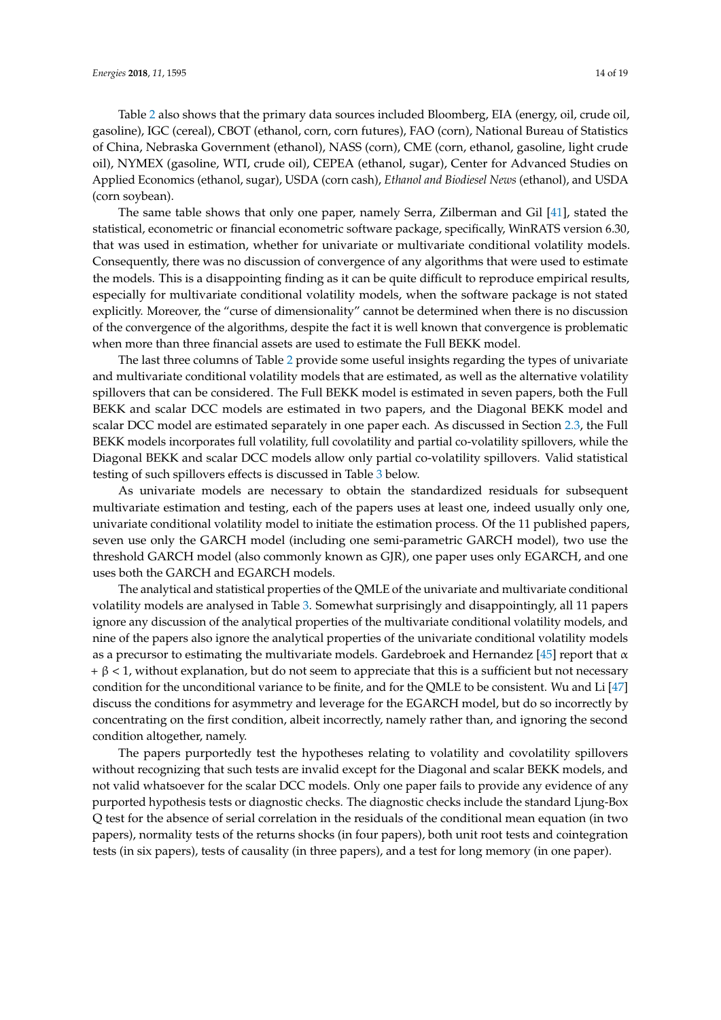Table [2](#page-12-0) also shows that the primary data sources included Bloomberg, EIA (energy, oil, crude oil, gasoline), IGC (cereal), CBOT (ethanol, corn, corn futures), FAO (corn), National Bureau of Statistics of China, Nebraska Government (ethanol), NASS (corn), CME (corn, ethanol, gasoline, light crude oil), NYMEX (gasoline, WTI, crude oil), CEPEA (ethanol, sugar), Center for Advanced Studies on Applied Economics (ethanol, sugar), USDA (corn cash), *Ethanol and Biodiesel News* (ethanol), and USDA (corn soybean).

The same table shows that only one paper, namely Serra, Zilberman and Gil [\[41\]](#page-18-3), stated the statistical, econometric or financial econometric software package, specifically, WinRATS version 6.30, that was used in estimation, whether for univariate or multivariate conditional volatility models. Consequently, there was no discussion of convergence of any algorithms that were used to estimate the models. This is a disappointing finding as it can be quite difficult to reproduce empirical results, especially for multivariate conditional volatility models, when the software package is not stated explicitly. Moreover, the "curse of dimensionality" cannot be determined when there is no discussion of the convergence of the algorithms, despite the fact it is well known that convergence is problematic when more than three financial assets are used to estimate the Full BEKK model.

The last three columns of Table [2](#page-12-0) provide some useful insights regarding the types of univariate and multivariate conditional volatility models that are estimated, as well as the alternative volatility spillovers that can be considered. The Full BEKK model is estimated in seven papers, both the Full BEKK and scalar DCC models are estimated in two papers, and the Diagonal BEKK model and scalar DCC model are estimated separately in one paper each. As discussed in Section [2.3,](#page-6-0) the Full BEKK models incorporates full volatility, full covolatility and partial co-volatility spillovers, while the Diagonal BEKK and scalar DCC models allow only partial co-volatility spillovers. Valid statistical testing of such spillovers effects is discussed in Table [3](#page-14-0) below.

As univariate models are necessary to obtain the standardized residuals for subsequent multivariate estimation and testing, each of the papers uses at least one, indeed usually only one, univariate conditional volatility model to initiate the estimation process. Of the 11 published papers, seven use only the GARCH model (including one semi-parametric GARCH model), two use the threshold GARCH model (also commonly known as GJR), one paper uses only EGARCH, and one uses both the GARCH and EGARCH models.

The analytical and statistical properties of the QMLE of the univariate and multivariate conditional volatility models are analysed in Table [3.](#page-14-0) Somewhat surprisingly and disappointingly, all 11 papers ignore any discussion of the analytical properties of the multivariate conditional volatility models, and nine of the papers also ignore the analytical properties of the univariate conditional volatility models as a precursor to estimating the multivariate models. Gardebroek and Hernandez [\[45\]](#page-18-7) report that  $\alpha$  $+ \beta < 1$ , without explanation, but do not seem to appreciate that this is a sufficient but not necessary condition for the unconditional variance to be finite, and for the QMLE to be consistent. Wu and Li [\[47\]](#page-18-9) discuss the conditions for asymmetry and leverage for the EGARCH model, but do so incorrectly by concentrating on the first condition, albeit incorrectly, namely rather than, and ignoring the second condition altogether, namely.

The papers purportedly test the hypotheses relating to volatility and covolatility spillovers without recognizing that such tests are invalid except for the Diagonal and scalar BEKK models, and not valid whatsoever for the scalar DCC models. Only one paper fails to provide any evidence of any purported hypothesis tests or diagnostic checks. The diagnostic checks include the standard Ljung-Box Q test for the absence of serial correlation in the residuals of the conditional mean equation (in two papers), normality tests of the returns shocks (in four papers), both unit root tests and cointegration tests (in six papers), tests of causality (in three papers), and a test for long memory (in one paper).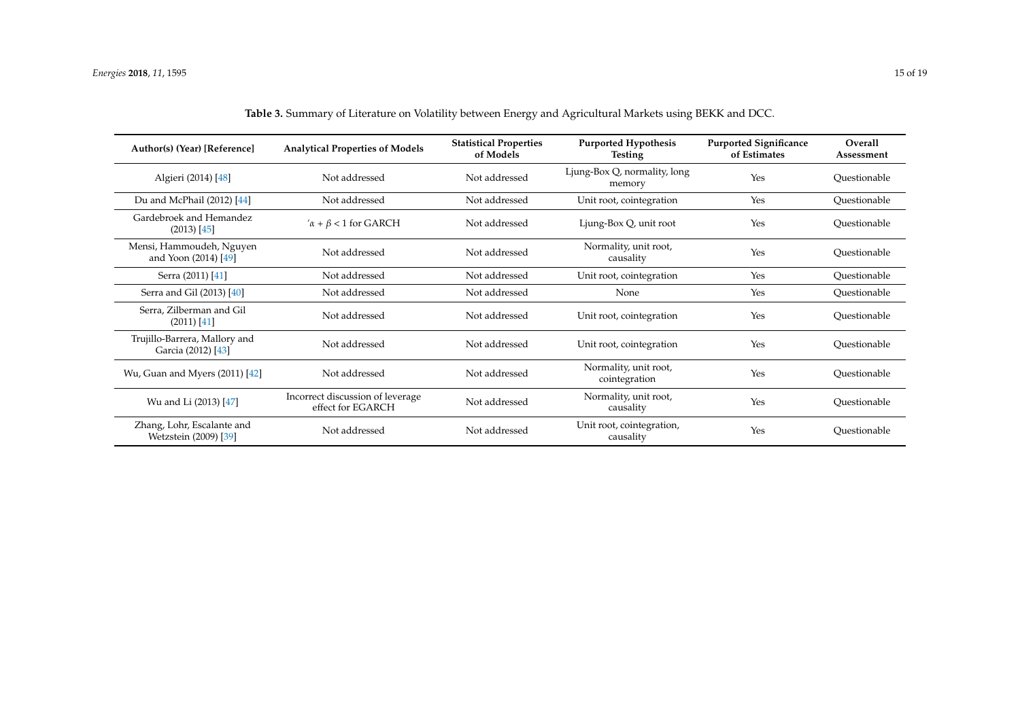<span id="page-14-0"></span>

| Author(s) (Year) [Reference]                        | <b>Analytical Properties of Models</b>                | <b>Statistical Properties</b><br>of Models | <b>Purported Hypothesis</b><br><b>Testing</b> | <b>Purported Significance</b><br>of Estimates | Overall<br>Assessment |
|-----------------------------------------------------|-------------------------------------------------------|--------------------------------------------|-----------------------------------------------|-----------------------------------------------|-----------------------|
| Algieri (2014) [48]                                 | Not addressed                                         | Not addressed                              | Ljung-Box Q, normality, long<br>memory        | Yes                                           | Ouestionable          |
| Du and McPhail (2012) [44]                          | Not addressed                                         | Not addressed                              | Unit root, cointegration                      | Yes                                           | Questionable          |
| Gardebroek and Hemandez<br>$(2013)$ [45]            | $\alpha + \beta < 1$ for GARCH                        | Not addressed                              | Ljung-Box Q, unit root                        | Yes                                           | Ouestionable          |
| Mensi, Hammoudeh, Nguyen<br>and Yoon (2014) [49]    | Not addressed                                         | Not addressed                              | Normality, unit root,<br>causality            | Yes                                           | Ouestionable          |
| Serra (2011) [41]                                   | Not addressed                                         | Not addressed                              | Unit root, cointegration                      | Yes                                           | Questionable          |
| Serra and Gil (2013) [40]                           | Not addressed                                         | Not addressed                              | None                                          | Yes                                           | Ouestionable          |
| Serra, Zilberman and Gil<br>$(2011)$ [41]           | Not addressed                                         | Not addressed                              | Unit root, cointegration                      | Yes                                           | Ouestionable          |
| Trujillo-Barrera, Mallory and<br>Garcia (2012) [43] | Not addressed                                         | Not addressed                              | Unit root, cointegration                      | Yes                                           | Ouestionable          |
| Wu, Guan and Myers (2011) [42]                      | Not addressed                                         | Not addressed                              | Normality, unit root,<br>cointegration        | Yes                                           | Ouestionable          |
| Wu and Li (2013) [47]                               | Incorrect discussion of leverage<br>effect for EGARCH | Not addressed                              | Normality, unit root,<br>causality            | Yes                                           | Ouestionable          |
| Zhang, Lohr, Escalante and<br>Wetzstein (2009) [39] | Not addressed                                         | Not addressed                              | Unit root, cointegration,<br>causality        | Yes                                           | Ouestionable          |

|--|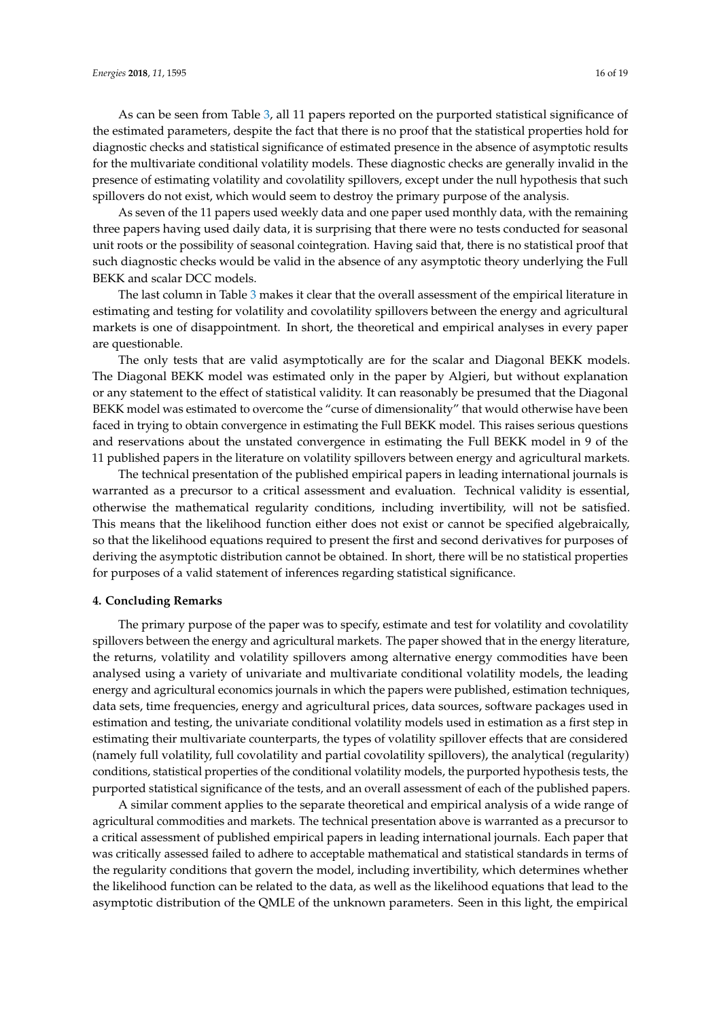As can be seen from Table [3,](#page-14-0) all 11 papers reported on the purported statistical significance of the estimated parameters, despite the fact that there is no proof that the statistical properties hold for diagnostic checks and statistical significance of estimated presence in the absence of asymptotic results for the multivariate conditional volatility models. These diagnostic checks are generally invalid in the presence of estimating volatility and covolatility spillovers, except under the null hypothesis that such spillovers do not exist, which would seem to destroy the primary purpose of the analysis.

As seven of the 11 papers used weekly data and one paper used monthly data, with the remaining three papers having used daily data, it is surprising that there were no tests conducted for seasonal unit roots or the possibility of seasonal cointegration. Having said that, there is no statistical proof that such diagnostic checks would be valid in the absence of any asymptotic theory underlying the Full BEKK and scalar DCC models.

The last column in Table [3](#page-14-0) makes it clear that the overall assessment of the empirical literature in estimating and testing for volatility and covolatility spillovers between the energy and agricultural markets is one of disappointment. In short, the theoretical and empirical analyses in every paper are questionable.

The only tests that are valid asymptotically are for the scalar and Diagonal BEKK models. The Diagonal BEKK model was estimated only in the paper by Algieri, but without explanation or any statement to the effect of statistical validity. It can reasonably be presumed that the Diagonal BEKK model was estimated to overcome the "curse of dimensionality" that would otherwise have been faced in trying to obtain convergence in estimating the Full BEKK model. This raises serious questions and reservations about the unstated convergence in estimating the Full BEKK model in 9 of the 11 published papers in the literature on volatility spillovers between energy and agricultural markets.

The technical presentation of the published empirical papers in leading international journals is warranted as a precursor to a critical assessment and evaluation. Technical validity is essential, otherwise the mathematical regularity conditions, including invertibility, will not be satisfied. This means that the likelihood function either does not exist or cannot be specified algebraically, so that the likelihood equations required to present the first and second derivatives for purposes of deriving the asymptotic distribution cannot be obtained. In short, there will be no statistical properties for purposes of a valid statement of inferences regarding statistical significance.

# <span id="page-15-0"></span>**4. Concluding Remarks**

The primary purpose of the paper was to specify, estimate and test for volatility and covolatility spillovers between the energy and agricultural markets. The paper showed that in the energy literature, the returns, volatility and volatility spillovers among alternative energy commodities have been analysed using a variety of univariate and multivariate conditional volatility models, the leading energy and agricultural economics journals in which the papers were published, estimation techniques, data sets, time frequencies, energy and agricultural prices, data sources, software packages used in estimation and testing, the univariate conditional volatility models used in estimation as a first step in estimating their multivariate counterparts, the types of volatility spillover effects that are considered (namely full volatility, full covolatility and partial covolatility spillovers), the analytical (regularity) conditions, statistical properties of the conditional volatility models, the purported hypothesis tests, the purported statistical significance of the tests, and an overall assessment of each of the published papers.

A similar comment applies to the separate theoretical and empirical analysis of a wide range of agricultural commodities and markets. The technical presentation above is warranted as a precursor to a critical assessment of published empirical papers in leading international journals. Each paper that was critically assessed failed to adhere to acceptable mathematical and statistical standards in terms of the regularity conditions that govern the model, including invertibility, which determines whether the likelihood function can be related to the data, as well as the likelihood equations that lead to the asymptotic distribution of the QMLE of the unknown parameters. Seen in this light, the empirical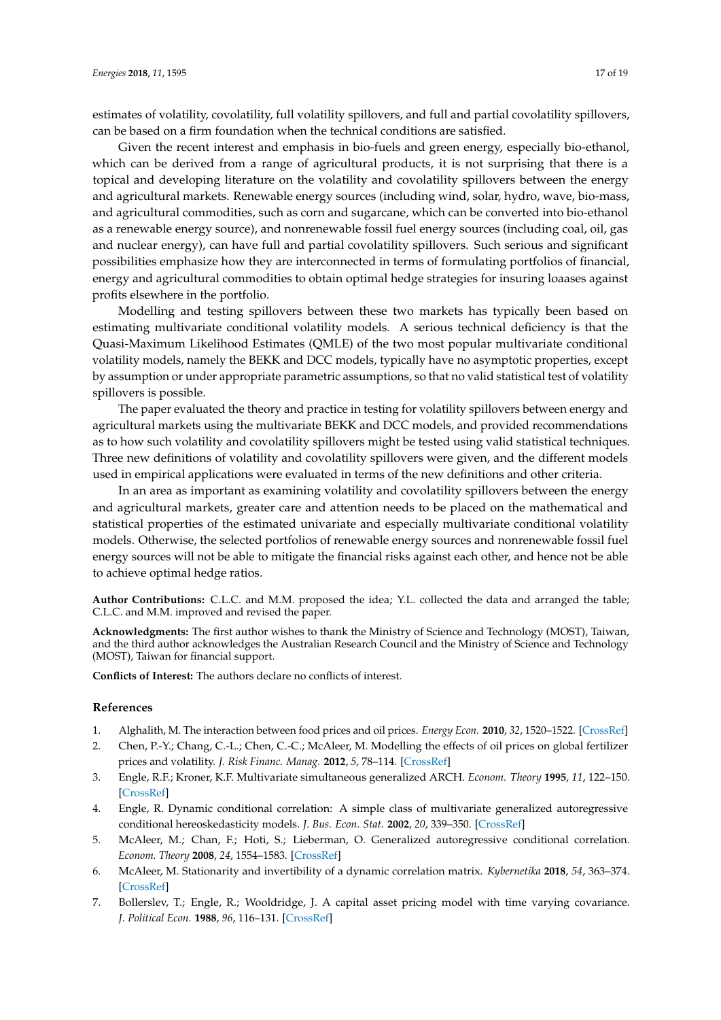estimates of volatility, covolatility, full volatility spillovers, and full and partial covolatility spillovers, can be based on a firm foundation when the technical conditions are satisfied.

Given the recent interest and emphasis in bio-fuels and green energy, especially bio-ethanol, which can be derived from a range of agricultural products, it is not surprising that there is a topical and developing literature on the volatility and covolatility spillovers between the energy and agricultural markets. Renewable energy sources (including wind, solar, hydro, wave, bio-mass, and agricultural commodities, such as corn and sugarcane, which can be converted into bio-ethanol as a renewable energy source), and nonrenewable fossil fuel energy sources (including coal, oil, gas and nuclear energy), can have full and partial covolatility spillovers. Such serious and significant possibilities emphasize how they are interconnected in terms of formulating portfolios of financial, energy and agricultural commodities to obtain optimal hedge strategies for insuring loaases against profits elsewhere in the portfolio.

Modelling and testing spillovers between these two markets has typically been based on estimating multivariate conditional volatility models. A serious technical deficiency is that the Quasi-Maximum Likelihood Estimates (QMLE) of the two most popular multivariate conditional volatility models, namely the BEKK and DCC models, typically have no asymptotic properties, except by assumption or under appropriate parametric assumptions, so that no valid statistical test of volatility spillovers is possible.

The paper evaluated the theory and practice in testing for volatility spillovers between energy and agricultural markets using the multivariate BEKK and DCC models, and provided recommendations as to how such volatility and covolatility spillovers might be tested using valid statistical techniques. Three new definitions of volatility and covolatility spillovers were given, and the different models used in empirical applications were evaluated in terms of the new definitions and other criteria.

In an area as important as examining volatility and covolatility spillovers between the energy and agricultural markets, greater care and attention needs to be placed on the mathematical and statistical properties of the estimated univariate and especially multivariate conditional volatility models. Otherwise, the selected portfolios of renewable energy sources and nonrenewable fossil fuel energy sources will not be able to mitigate the financial risks against each other, and hence not be able to achieve optimal hedge ratios.

**Author Contributions:** C.L.C. and M.M. proposed the idea; Y.L. collected the data and arranged the table; C.L.C. and M.M. improved and revised the paper.

**Acknowledgments:** The first author wishes to thank the Ministry of Science and Technology (MOST), Taiwan, and the third author acknowledges the Australian Research Council and the Ministry of Science and Technology (MOST), Taiwan for financial support.

**Conflicts of Interest:** The authors declare no conflicts of interest.

#### **References**

- <span id="page-16-0"></span>1. Alghalith, M. The interaction between food prices and oil prices. *Energy Econ.* **2010**, *32*, 1520–1522. [\[CrossRef\]](http://dx.doi.org/10.1016/j.eneco.2010.08.012)
- <span id="page-16-1"></span>2. Chen, P.-Y.; Chang, C.-L.; Chen, C.-C.; McAleer, M. Modelling the effects of oil prices on global fertilizer prices and volatility. *J. Risk Financ. Manag.* **2012**, *5*, 78–114. [\[CrossRef\]](http://dx.doi.org/10.3390/jrfm5010078)
- <span id="page-16-2"></span>3. Engle, R.F.; Kroner, K.F. Multivariate simultaneous generalized ARCH. *Econom. Theory* **1995**, *11*, 122–150. [\[CrossRef\]](http://dx.doi.org/10.1017/S0266466600009063)
- <span id="page-16-3"></span>4. Engle, R. Dynamic conditional correlation: A simple class of multivariate generalized autoregressive conditional hereoskedasticity models. *J. Bus. Econ. Stat.* **2002**, *20*, 339–350. [\[CrossRef\]](http://dx.doi.org/10.1198/073500102288618487)
- <span id="page-16-4"></span>5. McAleer, M.; Chan, F.; Hoti, S.; Lieberman, O. Generalized autoregressive conditional correlation. *Econom. Theory* **2008**, *24*, 1554–1583. [\[CrossRef\]](http://dx.doi.org/10.1017/S0266466608080614)
- <span id="page-16-5"></span>6. McAleer, M. Stationarity and invertibility of a dynamic correlation matrix. *Kybernetika* **2018**, *54*, 363–374. [\[CrossRef\]](http://dx.doi.org/10.14736/kyb-2018-2-0363)
- <span id="page-16-6"></span>7. Bollerslev, T.; Engle, R.; Wooldridge, J. A capital asset pricing model with time varying covariance. *J. Political Econ.* **1988**, *96*, 116–131. [\[CrossRef\]](http://dx.doi.org/10.1086/261527)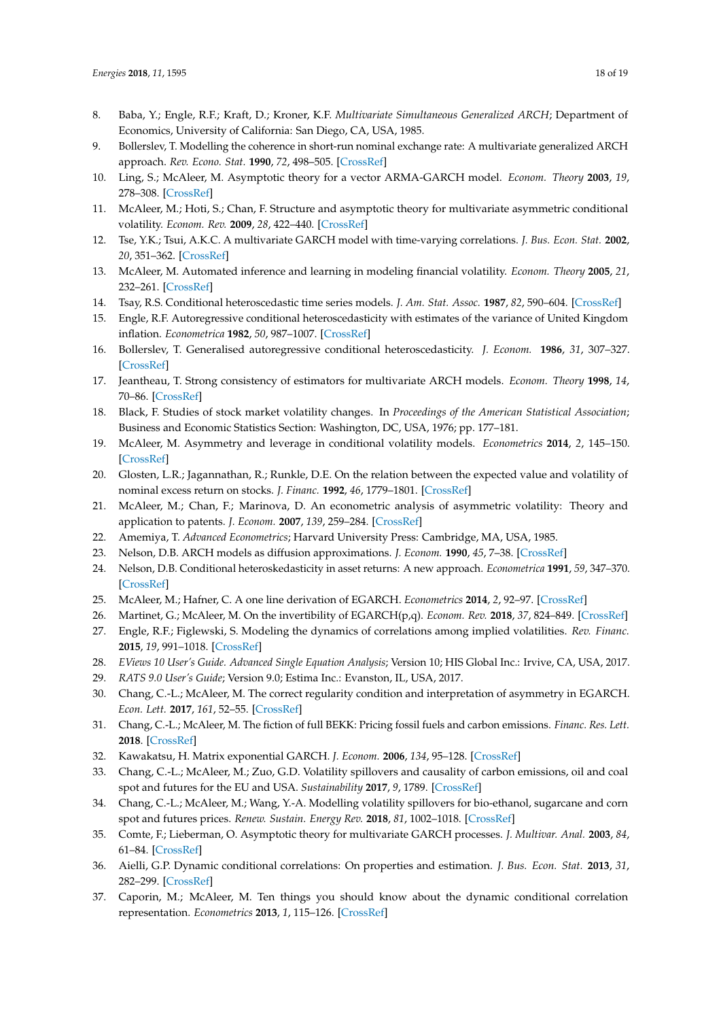- <span id="page-17-0"></span>8. Baba, Y.; Engle, R.F.; Kraft, D.; Kroner, K.F. *Multivariate Simultaneous Generalized ARCH*; Department of Economics, University of California: San Diego, CA, USA, 1985.
- <span id="page-17-1"></span>9. Bollerslev, T. Modelling the coherence in short-run nominal exchange rate: A multivariate generalized ARCH approach. *Rev. Econo. Stat.* **1990**, *72*, 498–505. [\[CrossRef\]](http://dx.doi.org/10.2307/2109358)
- <span id="page-17-2"></span>10. Ling, S.; McAleer, M. Asymptotic theory for a vector ARMA-GARCH model. *Econom. Theory* **2003**, *19*, 278–308. [\[CrossRef\]](http://dx.doi.org/10.1017/S0266466603192092)
- <span id="page-17-3"></span>11. McAleer, M.; Hoti, S.; Chan, F. Structure and asymptotic theory for multivariate asymmetric conditional volatility. *Econom. Rev.* **2009**, *28*, 422–440. [\[CrossRef\]](http://dx.doi.org/10.1080/07474930802467217)
- <span id="page-17-4"></span>12. Tse, Y.K.; Tsui, A.K.C. A multivariate GARCH model with time-varying correlations. *J. Bus. Econ. Stat.* **2002**, *20*, 351–362. [\[CrossRef\]](http://dx.doi.org/10.1198/073500102288618496)
- <span id="page-17-5"></span>13. McAleer, M. Automated inference and learning in modeling financial volatility. *Econom. Theory* **2005**, *21*, 232–261. [\[CrossRef\]](http://dx.doi.org/10.1017/S0266466605050140)
- <span id="page-17-6"></span>14. Tsay, R.S. Conditional heteroscedastic time series models. *J. Am. Stat. Assoc.* **1987**, *82*, 590–604. [\[CrossRef\]](http://dx.doi.org/10.1080/01621459.1987.10478471)
- <span id="page-17-7"></span>15. Engle, R.F. Autoregressive conditional heteroscedasticity with estimates of the variance of United Kingdom inflation. *Econometrica* **1982**, *50*, 987–1007. [\[CrossRef\]](http://dx.doi.org/10.2307/1912773)
- <span id="page-17-8"></span>16. Bollerslev, T. Generalised autoregressive conditional heteroscedasticity. *J. Econom.* **1986**, *31*, 307–327. [\[CrossRef\]](http://dx.doi.org/10.1016/0304-4076(86)90063-1)
- <span id="page-17-9"></span>17. Jeantheau, T. Strong consistency of estimators for multivariate ARCH models. *Econom. Theory* **1998**, *14*, 70–86. [\[CrossRef\]](http://dx.doi.org/10.1017/S0266466698141038)
- <span id="page-17-10"></span>18. Black, F. Studies of stock market volatility changes. In *Proceedings of the American Statistical Association*; Business and Economic Statistics Section: Washington, DC, USA, 1976; pp. 177–181.
- <span id="page-17-11"></span>19. McAleer, M. Asymmetry and leverage in conditional volatility models. *Econometrics* **2014**, *2*, 145–150. [\[CrossRef\]](http://dx.doi.org/10.3390/econometrics2030145)
- <span id="page-17-12"></span>20. Glosten, L.R.; Jagannathan, R.; Runkle, D.E. On the relation between the expected value and volatility of nominal excess return on stocks. *J. Financ.* **1992**, *46*, 1779–1801. [\[CrossRef\]](http://dx.doi.org/10.1111/j.1540-6261.1993.tb05128.x)
- <span id="page-17-13"></span>21. McAleer, M.; Chan, F.; Marinova, D. An econometric analysis of asymmetric volatility: Theory and application to patents. *J. Econom.* **2007**, *139*, 259–284. [\[CrossRef\]](http://dx.doi.org/10.1016/j.jeconom.2006.10.014)
- <span id="page-17-14"></span>22. Amemiya, T. *Advanced Econometrics*; Harvard University Press: Cambridge, MA, USA, 1985.
- <span id="page-17-16"></span><span id="page-17-15"></span>23. Nelson, D.B. ARCH models as diffusion approximations. *J. Econom.* **1990**, *45*, 7–38. [\[CrossRef\]](http://dx.doi.org/10.1016/0304-4076(90)90092-8)
- 24. Nelson, D.B. Conditional heteroskedasticity in asset returns: A new approach. *Econometrica* **1991**, *59*, 347–370. [\[CrossRef\]](http://dx.doi.org/10.2307/2938260)
- <span id="page-17-17"></span>25. McAleer, M.; Hafner, C. A one line derivation of EGARCH. *Econometrics* **2014**, *2*, 92–97. [\[CrossRef\]](http://dx.doi.org/10.3390/econometrics2020092)
- <span id="page-17-18"></span>26. Martinet, G.; McAleer, M. On the invertibility of EGARCH(p,q). *Econom. Rev.* **2018**, *37*, 824–849. [\[CrossRef\]](http://dx.doi.org/10.1080/07474938.2016.1167994)
- <span id="page-17-19"></span>27. Engle, R.F.; Figlewski, S. Modeling the dynamics of correlations among implied volatilities. *Rev. Financ.* **2015**, *19*, 991–1018. [\[CrossRef\]](http://dx.doi.org/10.1093/rof/rfu024)
- <span id="page-17-20"></span>28. *EViews 10 User's Guide. Advanced Single Equation Analysis*; Version 10; HIS Global Inc.: Irvive, CA, USA, 2017.
- <span id="page-17-21"></span>29. *RATS 9.0 User's Guide*; Version 9.0; Estima Inc.: Evanston, IL, USA, 2017.
- <span id="page-17-22"></span>30. Chang, C.-L.; McAleer, M. The correct regularity condition and interpretation of asymmetry in EGARCH. *Econ. Lett.* **2017**, *161*, 52–55. [\[CrossRef\]](http://dx.doi.org/10.1016/j.econlet.2017.09.017)
- <span id="page-17-23"></span>31. Chang, C.-L.; McAleer, M. The fiction of full BEKK: Pricing fossil fuels and carbon emissions. *Financ. Res. Lett.* **2018**. [\[CrossRef\]](http://dx.doi.org/10.1016/j.frl.2018.03.008)
- <span id="page-17-25"></span><span id="page-17-24"></span>32. Kawakatsu, H. Matrix exponential GARCH. *J. Econom.* **2006**, *134*, 95–128. [\[CrossRef\]](http://dx.doi.org/10.1016/j.jeconom.2005.06.023)
- 33. Chang, C.-L.; McAleer, M.; Zuo, G.D. Volatility spillovers and causality of carbon emissions, oil and coal spot and futures for the EU and USA. *Sustainability* **2017**, *9*, 1789. [\[CrossRef\]](http://dx.doi.org/10.3390/su9101789)
- <span id="page-17-26"></span>34. Chang, C.-L.; McAleer, M.; Wang, Y.-A. Modelling volatility spillovers for bio-ethanol, sugarcane and corn spot and futures prices. *Renew. Sustain. Energy Rev.* **2018**, *81*, 1002–1018. [\[CrossRef\]](http://dx.doi.org/10.1016/j.rser.2017.07.024)
- <span id="page-17-27"></span>35. Comte, F.; Lieberman, O. Asymptotic theory for multivariate GARCH processes. *J. Multivar. Anal.* **2003**, *84*, 61–84. [\[CrossRef\]](http://dx.doi.org/10.1016/S0047-259X(02)00009-X)
- <span id="page-17-28"></span>36. Aielli, G.P. Dynamic conditional correlations: On properties and estimation. *J. Bus. Econ. Stat.* **2013**, *31*, 282–299. [\[CrossRef\]](http://dx.doi.org/10.1080/07350015.2013.771027)
- <span id="page-17-29"></span>37. Caporin, M.; McAleer, M. Ten things you should know about the dynamic conditional correlation representation. *Econometrics* **2013**, *1*, 115–126. [\[CrossRef\]](http://dx.doi.org/10.3390/econometrics1010115)